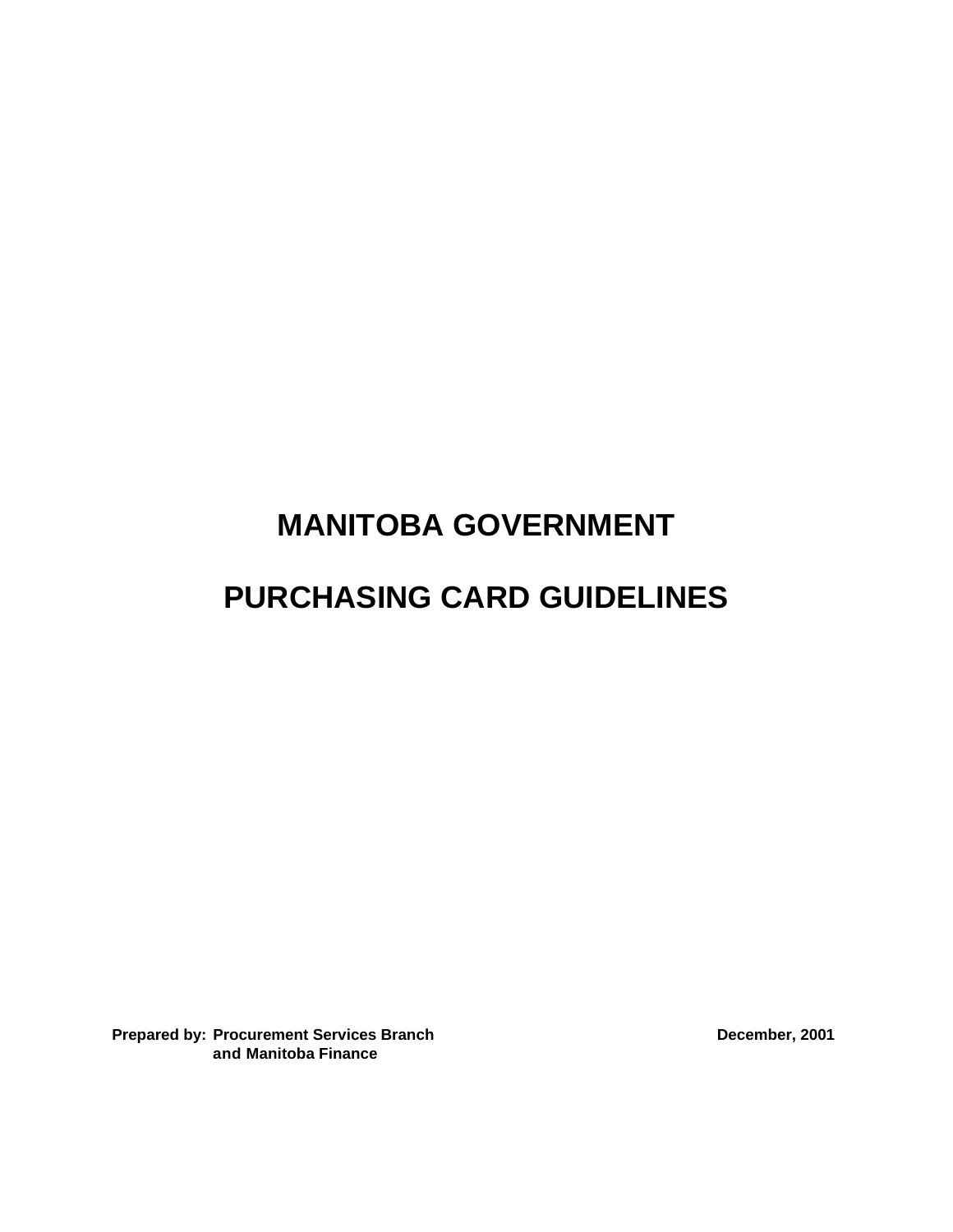# **MANITOBA GOVERNMENT**

# **PURCHASING CARD GUIDELINES**

**Prepared by: Procurement Services Branch December, 2001 December, 2001 and Manitoba Finance**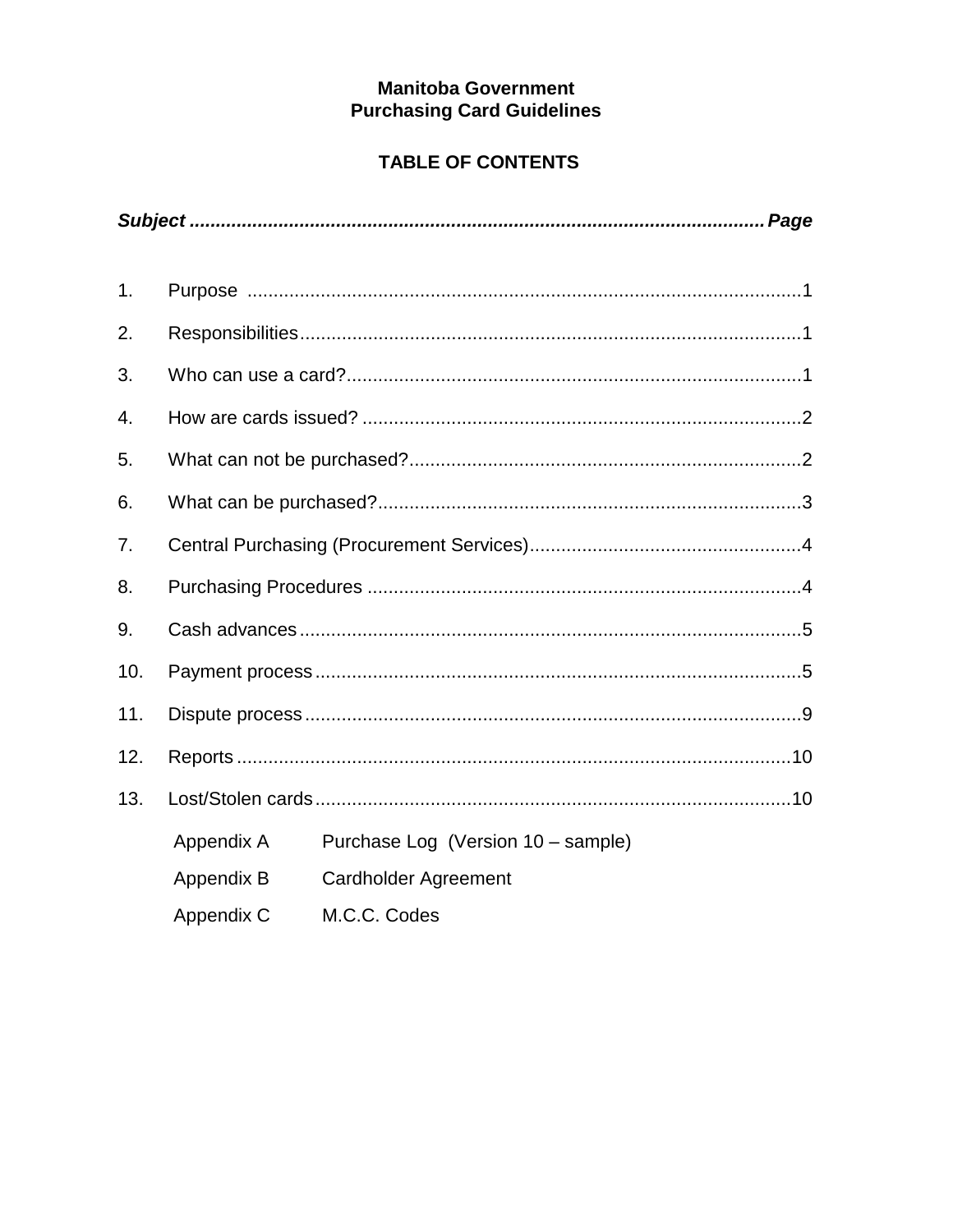# **Manitoba Government Purchasing Card Guidelines**

# **TABLE OF CONTENTS**

| 1.             |            |                                    |
|----------------|------------|------------------------------------|
| 2.             |            |                                    |
| 3.             |            |                                    |
| 4.             |            |                                    |
| 5.             |            |                                    |
| 6.             |            |                                    |
| 7 <sub>1</sub> |            |                                    |
| 8.             |            |                                    |
| 9.             |            |                                    |
| 10.            |            |                                    |
| 11.            |            |                                    |
| 12.            |            |                                    |
| 13.            |            |                                    |
|                | Appendix A | Purchase Log (Version 10 - sample) |
|                | Appendix B | <b>Cardholder Agreement</b>        |
|                | Appendix C | M.C.C. Codes                       |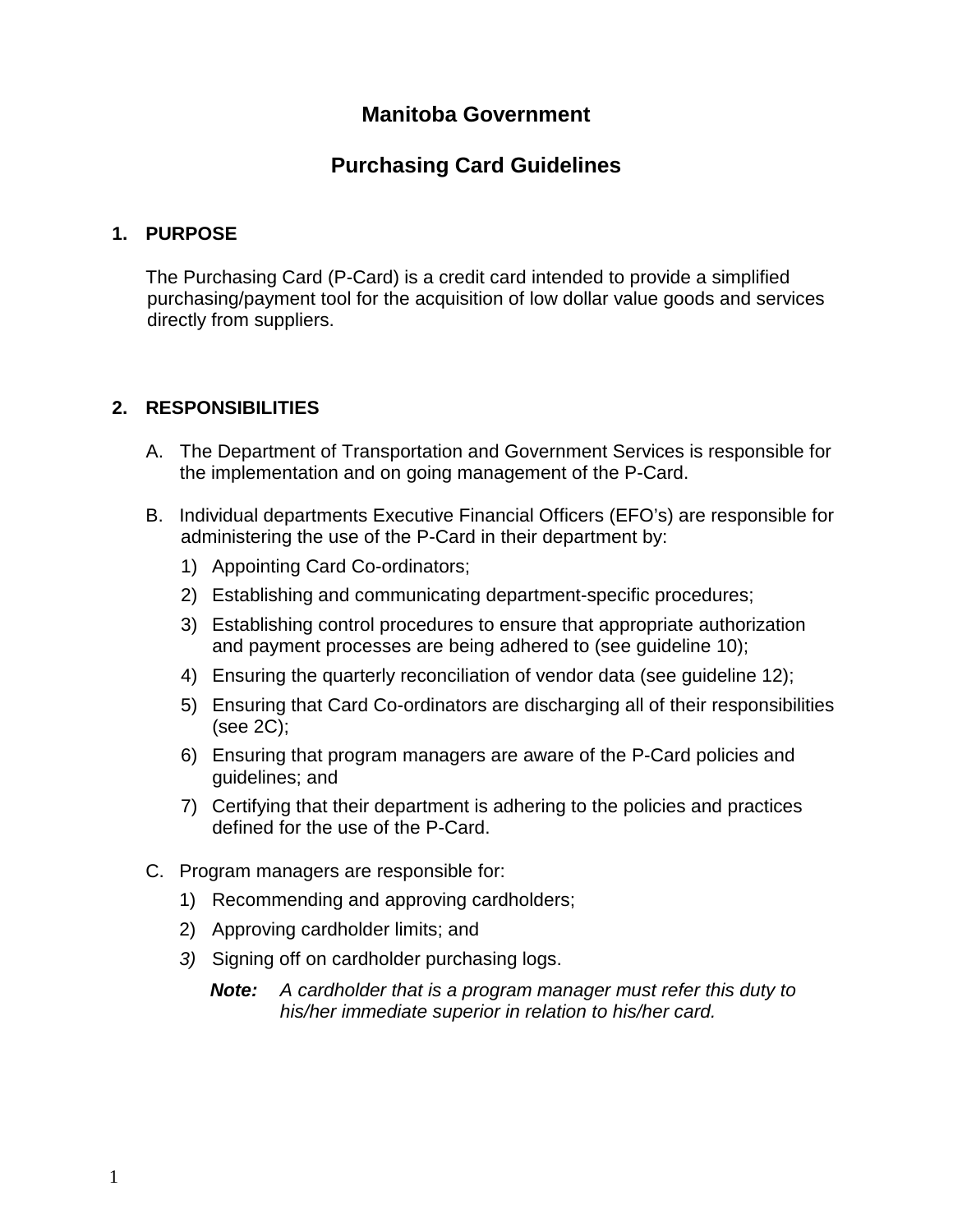# **Manitoba Government**

# **Purchasing Card Guidelines**

#### **1. PURPOSE**

The Purchasing Card (P-Card) is a credit card intended to provide a simplified purchasing/payment tool for the acquisition of low dollar value goods and services directly from suppliers.

#### **2. RESPONSIBILITIES**

- A. The Department of Transportation and Government Services is responsible for the implementation and on going management of the P-Card.
- B. Individual departments Executive Financial Officers (EFO's) are responsible for administering the use of the P-Card in their department by:
	- 1) Appointing Card Co-ordinators;
	- 2) Establishing and communicating department-specific procedures;
	- 3) Establishing control procedures to ensure that appropriate authorization and payment processes are being adhered to (see guideline 10);
	- 4) Ensuring the quarterly reconciliation of vendor data (see guideline 12);
	- 5) Ensuring that Card Co-ordinators are discharging all of their responsibilities (see 2C);
	- 6) Ensuring that program managers are aware of the P-Card policies and guidelines; and
	- 7) Certifying that their department is adhering to the policies and practices defined for the use of the P-Card.
- C. Program managers are responsible for:
	- 1) Recommending and approving cardholders;
	- 2) Approving cardholder limits; and
	- *3)* Signing off on cardholder purchasing logs.
		- *Note: A cardholder that is a program manager must refer this duty to his/her immediate superior in relation to his/her card.*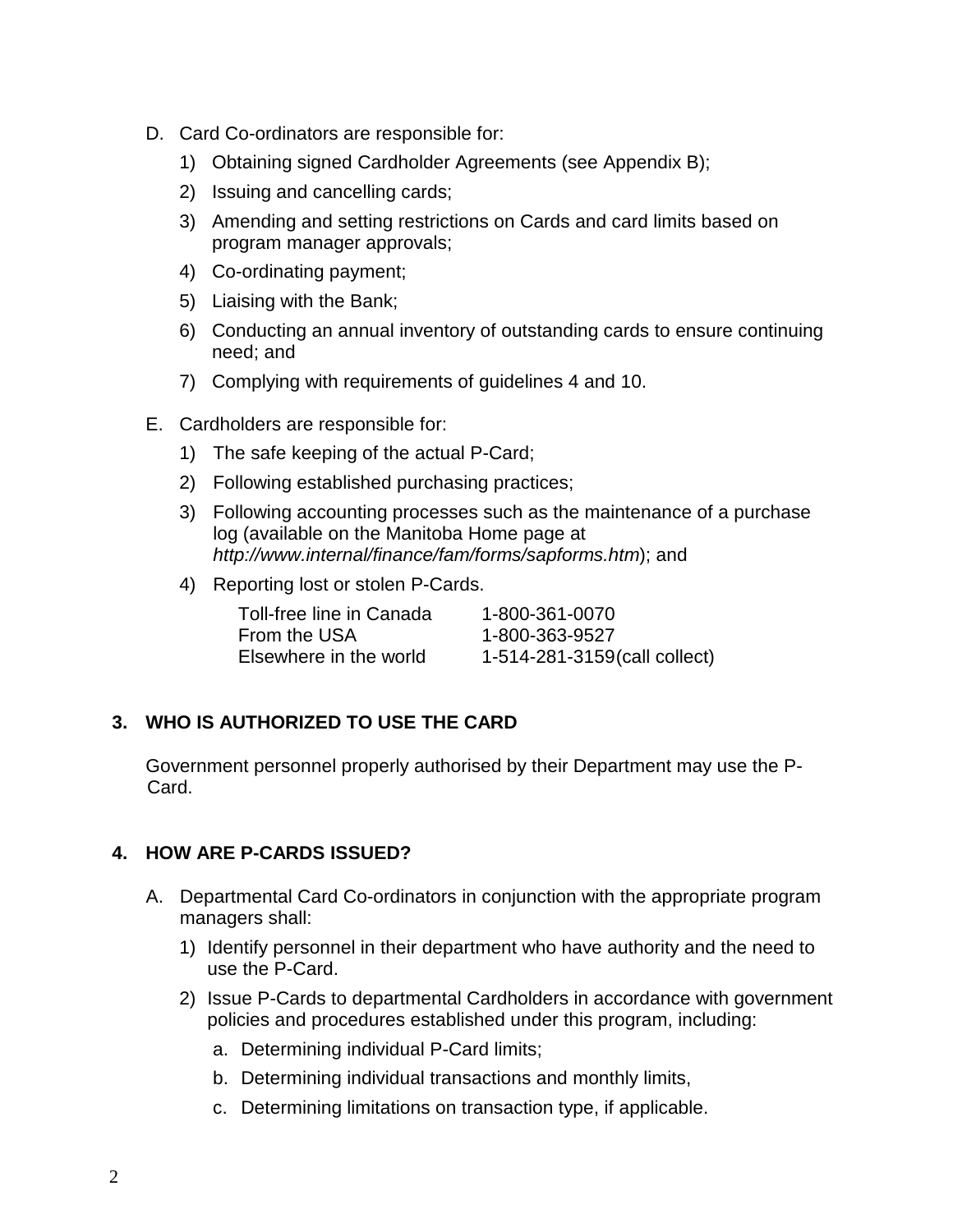- D. Card Co-ordinators are responsible for:
	- 1) Obtaining signed Cardholder Agreements (see Appendix B);
	- 2) Issuing and cancelling cards;
	- 3) Amending and setting restrictions on Cards and card limits based on program manager approvals;
	- 4) Co-ordinating payment;
	- 5) Liaising with the Bank;
	- 6) Conducting an annual inventory of outstanding cards to ensure continuing need; and
	- 7) Complying with requirements of guidelines 4 and 10.
- E. Cardholders are responsible for:
	- 1) The safe keeping of the actual P-Card;
	- 2) Following established purchasing practices;
	- 3) Following accounting processes such as the maintenance of a purchase log (available on the Manitoba Home page at *http://www.internal/finance/fam/forms/sapforms.htm*); and
	- 4) Reporting lost or stolen P-Cards.

| Toll-free line in Canada | 1-800-361-0070               |
|--------------------------|------------------------------|
| From the USA             | 1-800-363-9527               |
| Elsewhere in the world   | 1-514-281-3159(call collect) |

# **3. WHO IS AUTHORIZED TO USE THE CARD**

Government personnel properly authorised by their Department may use the P-Card.

# **4. HOW ARE P-CARDS ISSUED?**

- A. Departmental Card Co-ordinators in conjunction with the appropriate program managers shall:
	- 1) Identify personnel in their department who have authority and the need to use the P-Card.
	- 2) Issue P-Cards to departmental Cardholders in accordance with government policies and procedures established under this program, including:
		- a. Determining individual P-Card limits;
		- b. Determining individual transactions and monthly limits,
		- c. Determining limitations on transaction type, if applicable.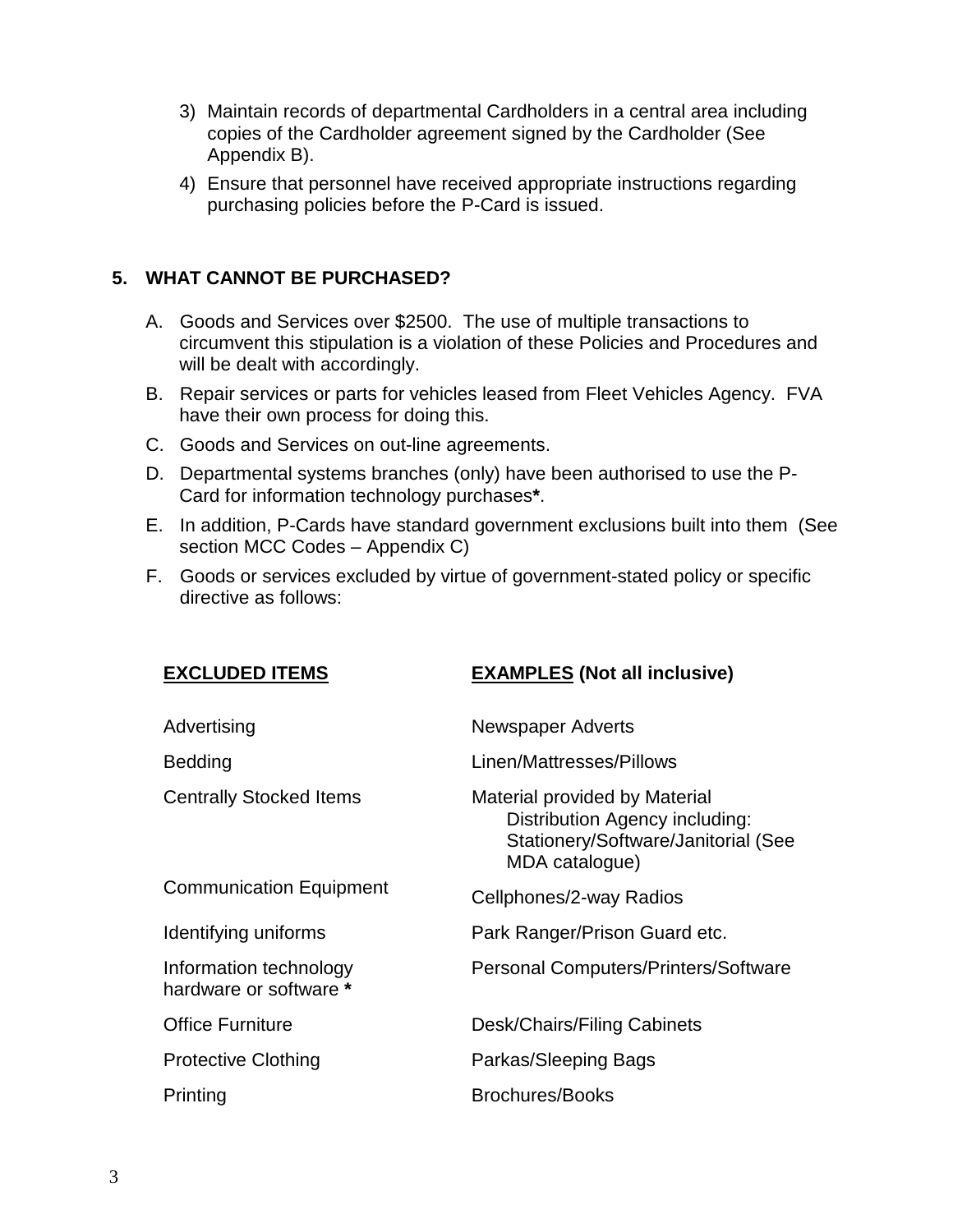- 3) Maintain records of departmental Cardholders in a central area including copies of the Cardholder agreement signed by the Cardholder (See Appendix B).
- 4) Ensure that personnel have received appropriate instructions regarding purchasing policies before the P-Card is issued.

### **5. WHAT CANNOT BE PURCHASED?**

- A. Goods and Services over \$2500. The use of multiple transactions to circumvent this stipulation is a violation of these Policies and Procedures and will be dealt with accordingly.
- B. Repair services or parts for vehicles leased from Fleet Vehicles Agency. FVA have their own process for doing this.
- C. Goods and Services on out-line agreements.
- D. Departmental systems branches (only) have been authorised to use the P-Card for information technology purchases**\***.
- E. In addition, P-Cards have standard government exclusions built into them (See section MCC Codes – Appendix C)
- F. Goods or services excluded by virtue of government-stated policy or specific directive as follows:

| <b>EXCLUDED ITEMS</b>                            | <b>EXAMPLES</b> (Not all inclusive)                                                                                             |
|--------------------------------------------------|---------------------------------------------------------------------------------------------------------------------------------|
| Advertising                                      | <b>Newspaper Adverts</b>                                                                                                        |
| Bedding                                          | Linen/Mattresses/Pillows                                                                                                        |
| <b>Centrally Stocked Items</b>                   | Material provided by Material<br><b>Distribution Agency including:</b><br>Stationery/Software/Janitorial (See<br>MDA catalogue) |
| <b>Communication Equipment</b>                   | Cellphones/2-way Radios                                                                                                         |
| Identifying uniforms                             | Park Ranger/Prison Guard etc.                                                                                                   |
| Information technology<br>hardware or software * | Personal Computers/Printers/Software                                                                                            |
| <b>Office Furniture</b>                          | Desk/Chairs/Filing Cabinets                                                                                                     |
| <b>Protective Clothing</b>                       | Parkas/Sleeping Bags                                                                                                            |
| Printing                                         | <b>Brochures/Books</b>                                                                                                          |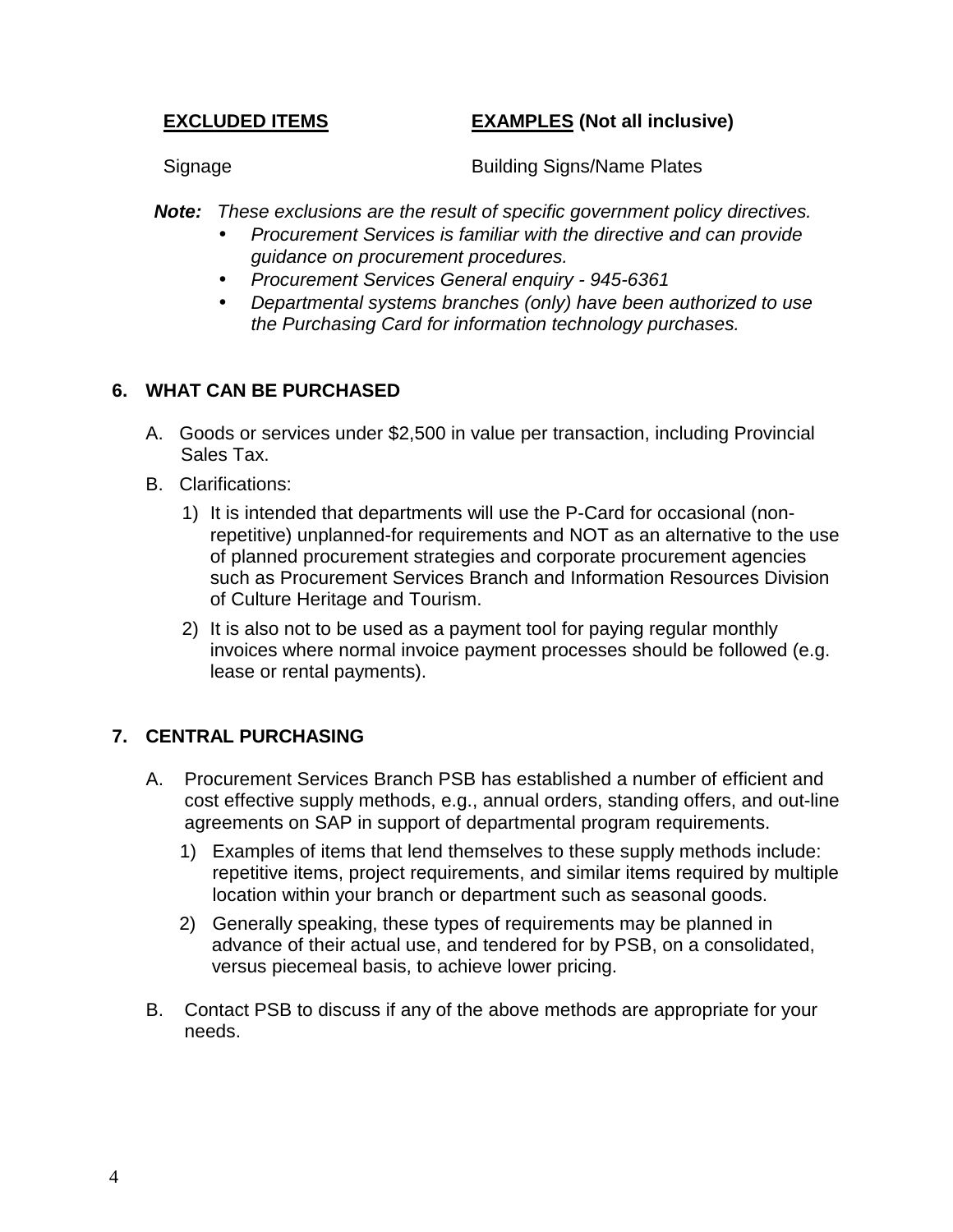### **EXCLUDED ITEMS EXAMPLES (Not all inclusive)**

Signage Building Signs/Name Plates

*Note: These exclusions are the result of specific government policy directives.*

- *Procurement Services is familiar with the directive and can provide guidance on procurement procedures.*
- *Procurement Services General enquiry 945-6361*
- *Departmental systems branches (only) have been authorized to use the Purchasing Card for information technology purchases.*

# **6. WHAT CAN BE PURCHASED**

- A. Goods or services under \$2,500 in value per transaction, including Provincial Sales Tax.
- B. Clarifications:
	- 1) It is intended that departments will use the P-Card for occasional (nonrepetitive) unplanned-for requirements and NOT as an alternative to the use of planned procurement strategies and corporate procurement agencies such as Procurement Services Branch and Information Resources Division of Culture Heritage and Tourism.
	- 2) It is also not to be used as a payment tool for paying regular monthly invoices where normal invoice payment processes should be followed (e.g. lease or rental payments).

# **7. CENTRAL PURCHASING**

- A. Procurement Services Branch PSB has established a number of efficient and cost effective supply methods, e.g., annual orders, standing offers, and out-line agreements on SAP in support of departmental program requirements.
	- 1) Examples of items that lend themselves to these supply methods include: repetitive items, project requirements, and similar items required by multiple location within your branch or department such as seasonal goods.
	- 2) Generally speaking, these types of requirements may be planned in advance of their actual use, and tendered for by PSB, on a consolidated, versus piecemeal basis, to achieve lower pricing.
- B. Contact PSB to discuss if any of the above methods are appropriate for your needs.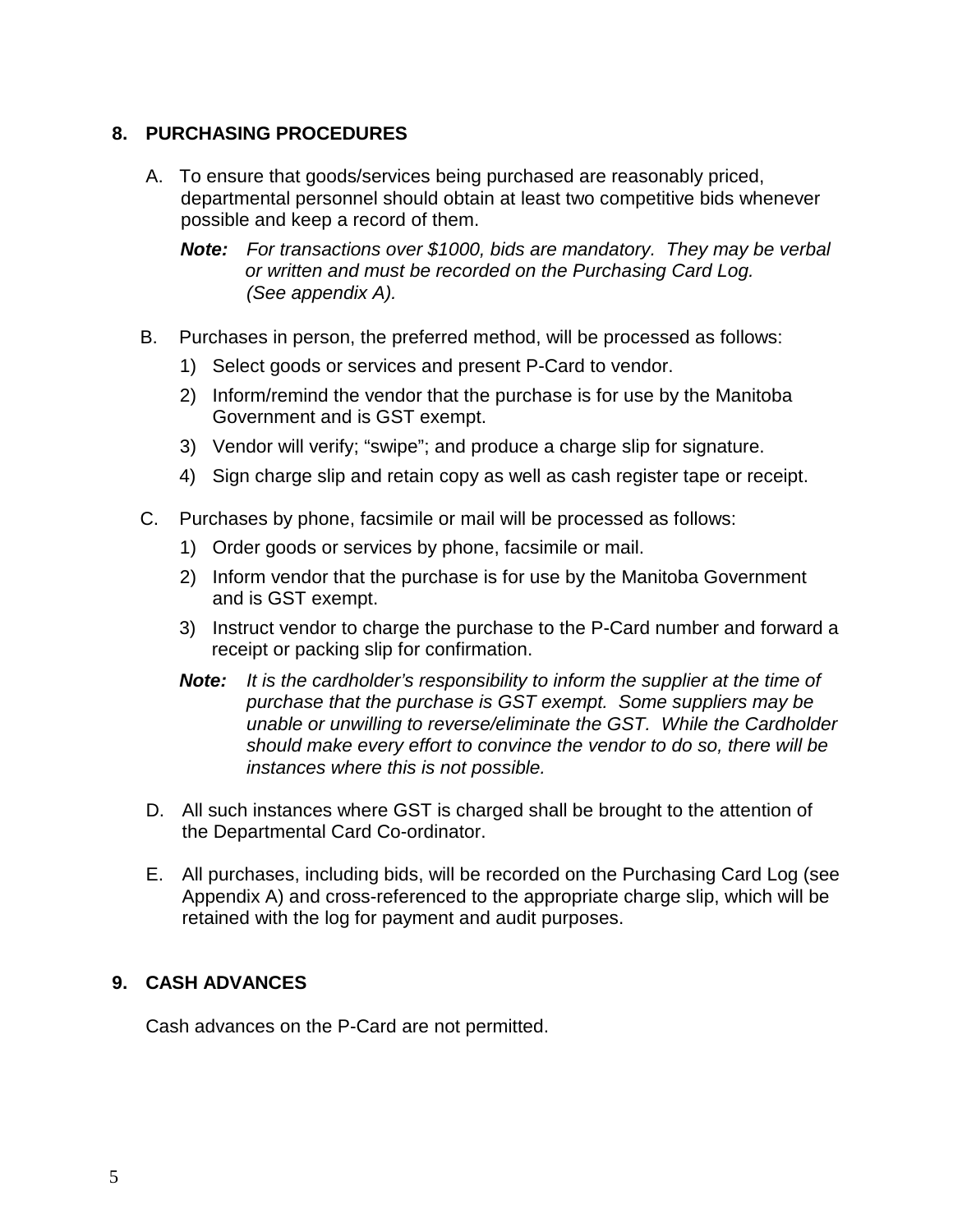# **8. PURCHASING PROCEDURES**

- A. To ensure that goods/services being purchased are reasonably priced, departmental personnel should obtain at least two competitive bids whenever possible and keep a record of them.
	- *Note: For transactions over \$1000, bids are mandatory. They may be verbal or written and must be recorded on the Purchasing Card Log. (See appendix A).*
- B. Purchases in person, the preferred method, will be processed as follows:
	- 1) Select goods or services and present P-Card to vendor.
	- 2) Inform/remind the vendor that the purchase is for use by the Manitoba Government and is GST exempt.
	- 3) Vendor will verify; "swipe"; and produce a charge slip for signature.
	- 4) Sign charge slip and retain copy as well as cash register tape or receipt.
- C. Purchases by phone, facsimile or mail will be processed as follows:
	- 1) Order goods or services by phone, facsimile or mail.
	- 2) Inform vendor that the purchase is for use by the Manitoba Government and is GST exempt.
	- 3) Instruct vendor to charge the purchase to the P-Card number and forward a receipt or packing slip for confirmation.
	- *Note: It is the cardholder's responsibility to inform the supplier at the time of purchase that the purchase is GST exempt. Some suppliers may be unable or unwilling to reverse/eliminate the GST. While the Cardholder should make every effort to convince the vendor to do so, there will be instances where this is not possible.*
- D. All such instances where GST is charged shall be brought to the attention of the Departmental Card Co-ordinator.
- E. All purchases, including bids, will be recorded on the Purchasing Card Log (see Appendix A) and cross-referenced to the appropriate charge slip, which will be retained with the log for payment and audit purposes.

#### **9. CASH ADVANCES**

Cash advances on the P-Card are not permitted.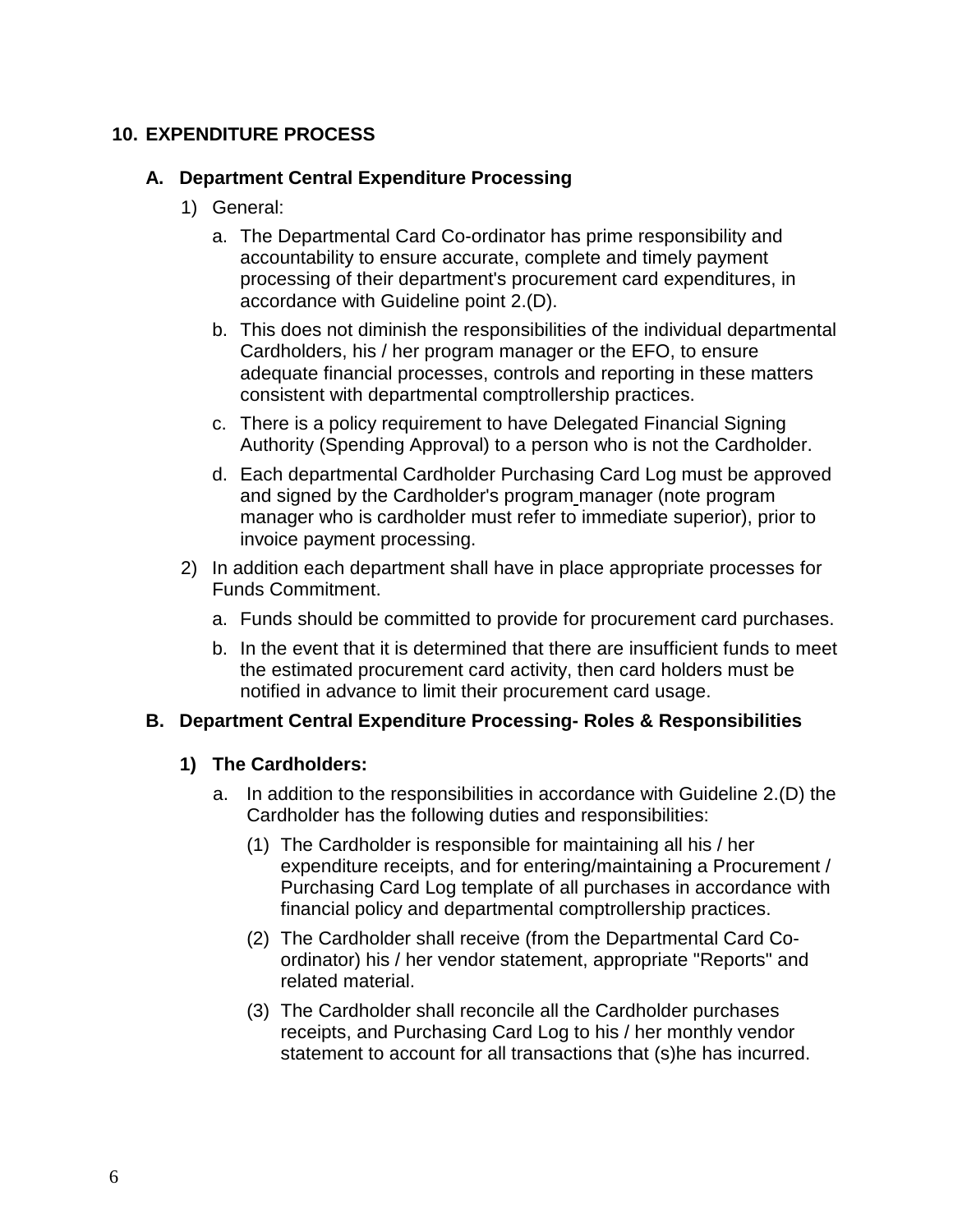# **10. EXPENDITURE PROCESS**

### **A. Department Central Expenditure Processing**

- 1) General:
	- a. The Departmental Card Co-ordinator has prime responsibility and accountability to ensure accurate, complete and timely payment processing of their department's procurement card expenditures, in accordance with Guideline point 2.(D).
	- b. This does not diminish the responsibilities of the individual departmental Cardholders, his / her program manager or the EFO, to ensure adequate financial processes, controls and reporting in these matters consistent with departmental comptrollership practices.
	- c. There is a policy requirement to have Delegated Financial Signing Authority (Spending Approval) to a person who is not the Cardholder.
	- d. Each departmental Cardholder Purchasing Card Log must be approved and signed by the Cardholder's program manager (note program manager who is cardholder must refer to immediate superior), prior to invoice payment processing.
- 2) In addition each department shall have in place appropriate processes for Funds Commitment.
	- a. Funds should be committed to provide for procurement card purchases.
	- b. In the event that it is determined that there are insufficient funds to meet the estimated procurement card activity, then card holders must be notified in advance to limit their procurement card usage.

#### **B. Department Central Expenditure Processing- Roles & Responsibilities**

#### **1) The Cardholders:**

- a. In addition to the responsibilities in accordance with Guideline 2.(D) the Cardholder has the following duties and responsibilities:
	- (1) The Cardholder is responsible for maintaining all his / her expenditure receipts, and for entering/maintaining a Procurement / Purchasing Card Log template of all purchases in accordance with financial policy and departmental comptrollership practices.
	- (2) The Cardholder shall receive (from the Departmental Card Coordinator) his / her vendor statement, appropriate "Reports" and related material.
	- (3) The Cardholder shall reconcile all the Cardholder purchases receipts, and Purchasing Card Log to his / her monthly vendor statement to account for all transactions that (s)he has incurred.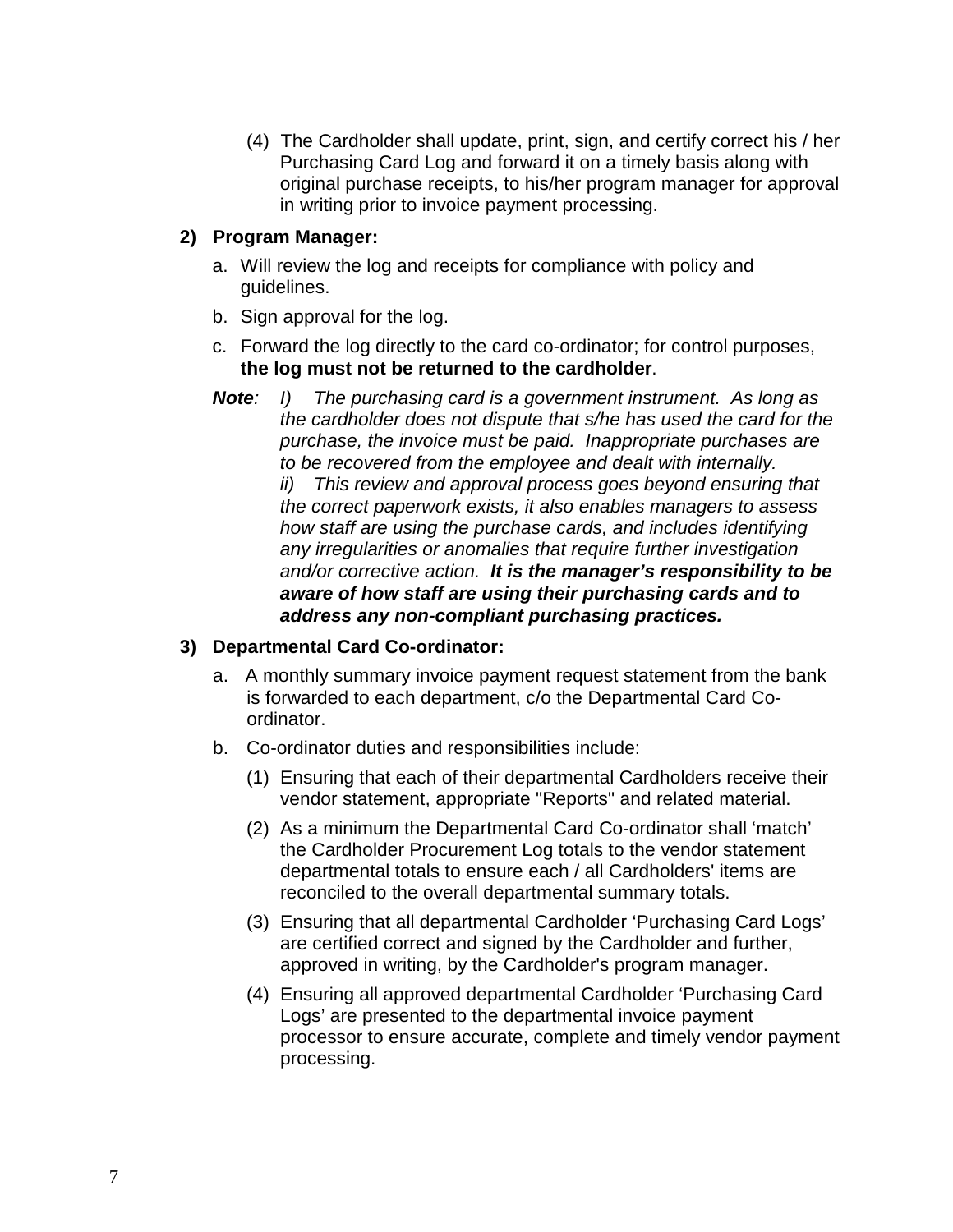(4) The Cardholder shall update, print, sign, and certify correct his / her Purchasing Card Log and forward it on a timely basis along with original purchase receipts, to his/her program manager for approval in writing prior to invoice payment processing.

#### **2) Program Manager:**

- a. Will review the log and receipts for compliance with policy and guidelines.
- b. Sign approval for the log.
- c. Forward the log directly to the card co-ordinator; for control purposes, **the log must not be returned to the cardholder**.
- *Note: I) The purchasing card is a government instrument. As long as the cardholder does not dispute that s/he has used the card for the purchase, the invoice must be paid. Inappropriate purchases are to be recovered from the employee and dealt with internally. ii) This review and approval process goes beyond ensuring that the correct paperwork exists, it also enables managers to assess how staff are using the purchase cards, and includes identifying any irregularities or anomalies that require further investigation and/or corrective action. It is the manager's responsibility to be aware of how staff are using their purchasing cards and to address any non-compliant purchasing practices.*

#### **3) Departmental Card Co-ordinator:**

- a. A monthly summary invoice payment request statement from the bank is forwarded to each department, c/o the Departmental Card Coordinator.
- b. Co-ordinator duties and responsibilities include:
	- (1) Ensuring that each of their departmental Cardholders receive their vendor statement, appropriate "Reports" and related material.
	- (2) As a minimum the Departmental Card Co-ordinator shall 'match' the Cardholder Procurement Log totals to the vendor statement departmental totals to ensure each / all Cardholders' items are reconciled to the overall departmental summary totals.
	- (3) Ensuring that all departmental Cardholder 'Purchasing Card Logs' are certified correct and signed by the Cardholder and further, approved in writing, by the Cardholder's program manager.
	- (4) Ensuring all approved departmental Cardholder 'Purchasing Card Logs' are presented to the departmental invoice payment processor to ensure accurate, complete and timely vendor payment processing.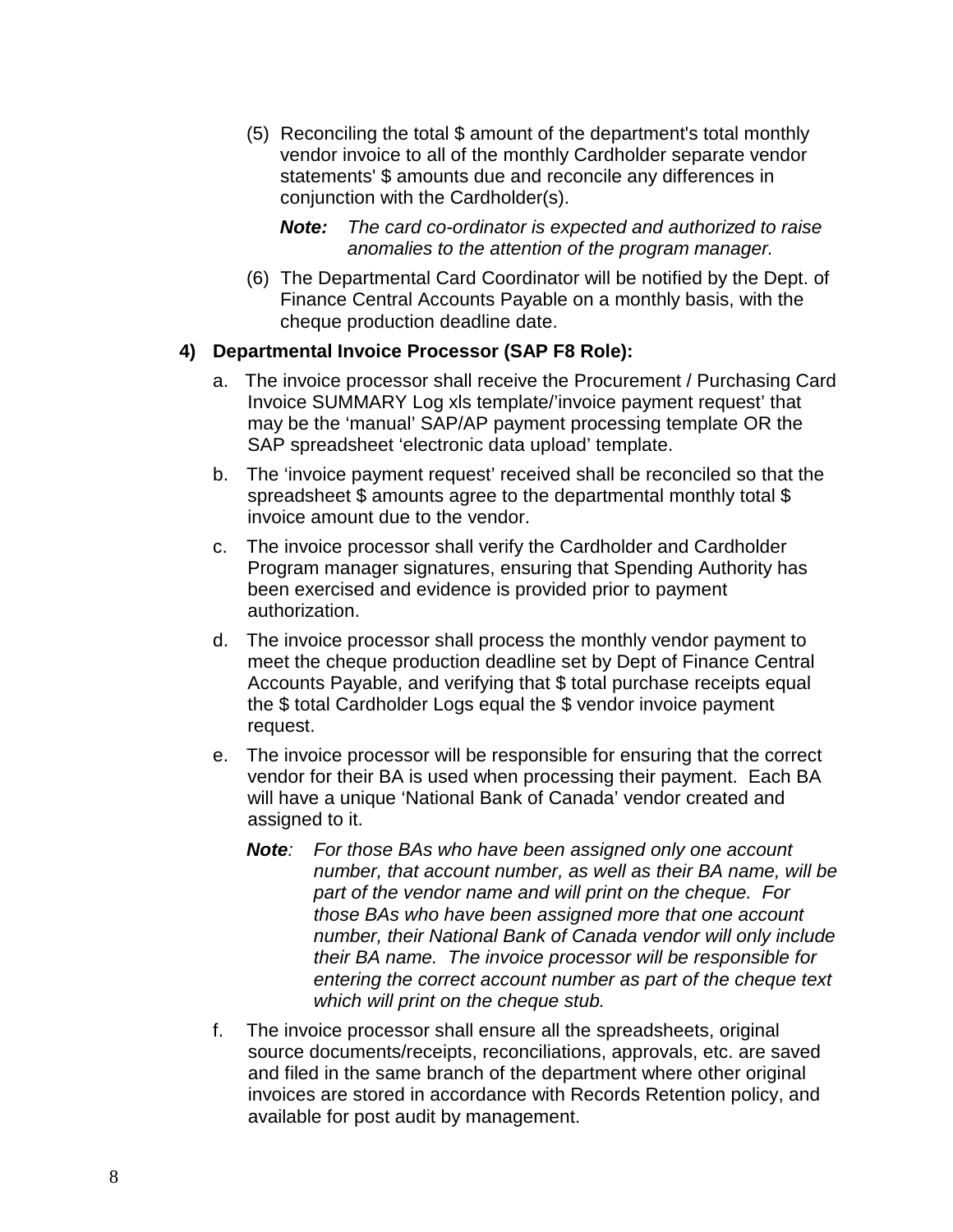(5) Reconciling the total \$ amount of the department's total monthly vendor invoice to all of the monthly Cardholder separate vendor statements' \$ amounts due and reconcile any differences in conjunction with the Cardholder(s).

*Note: The card co-ordinator is expected and authorized to raise anomalies to the attention of the program manager.*

(6) The Departmental Card Coordinator will be notified by the Dept. of Finance Central Accounts Payable on a monthly basis, with the cheque production deadline date.

#### **4) Departmental Invoice Processor (SAP F8 Role):**

- a. The invoice processor shall receive the Procurement / Purchasing Card Invoice SUMMARY Log xls template/'invoice payment request' that may be the 'manual' SAP/AP payment processing template OR the SAP spreadsheet 'electronic data upload' template.
- b. The 'invoice payment request' received shall be reconciled so that the spreadsheet \$ amounts agree to the departmental monthly total \$ invoice amount due to the vendor.
- c. The invoice processor shall verify the Cardholder and Cardholder Program manager signatures, ensuring that Spending Authority has been exercised and evidence is provided prior to payment authorization.
- d. The invoice processor shall process the monthly vendor payment to meet the cheque production deadline set by Dept of Finance Central Accounts Payable, and verifying that \$ total purchase receipts equal the \$ total Cardholder Logs equal the \$ vendor invoice payment request.
- e. The invoice processor will be responsible for ensuring that the correct vendor for their BA is used when processing their payment. Each BA will have a unique 'National Bank of Canada' vendor created and assigned to it.
	- *Note: For those BAs who have been assigned only one account number, that account number, as well as their BA name, will be part of the vendor name and will print on the cheque. For those BAs who have been assigned more that one account number, their National Bank of Canada vendor will only include their BA name. The invoice processor will be responsible for entering the correct account number as part of the cheque text which will print on the cheque stub.*
- f. The invoice processor shall ensure all the spreadsheets, original source documents/receipts, reconciliations, approvals, etc. are saved and filed in the same branch of the department where other original invoices are stored in accordance with Records Retention policy, and available for post audit by management.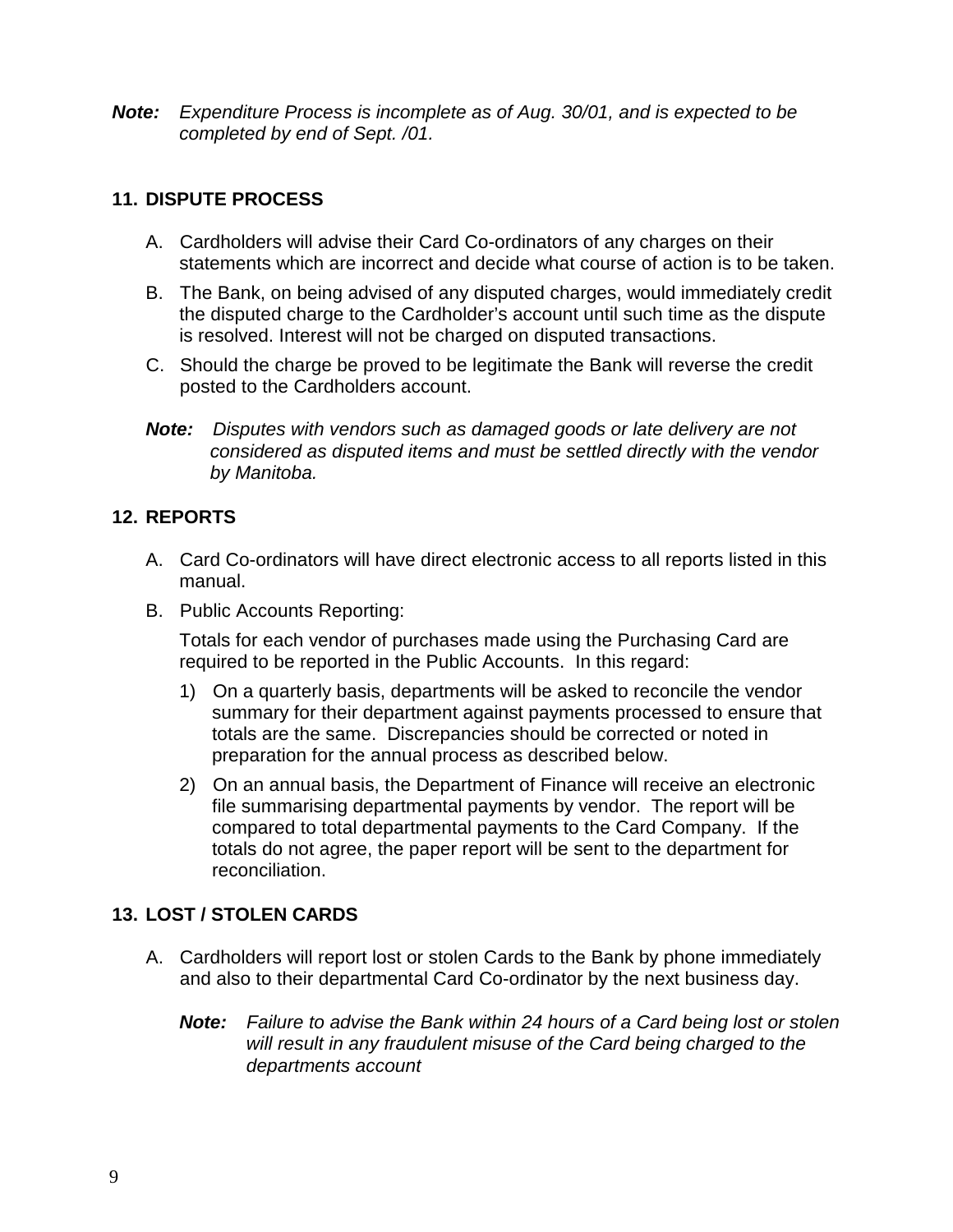*Note: Expenditure Process is incomplete as of Aug. 30/01, and is expected to be completed by end of Sept. /01.*

### **11. DISPUTE PROCESS**

- A. Cardholders will advise their Card Co-ordinators of any charges on their statements which are incorrect and decide what course of action is to be taken.
- B. The Bank, on being advised of any disputed charges, would immediately credit the disputed charge to the Cardholder's account until such time as the dispute is resolved. Interest will not be charged on disputed transactions.
- C. Should the charge be proved to be legitimate the Bank will reverse the credit posted to the Cardholders account.
- *Note: Disputes with vendors such as damaged goods or late delivery are not considered as disputed items and must be settled directly with the vendor by Manitoba.*

# **12. REPORTS**

- A. Card Co-ordinators will have direct electronic access to all reports listed in this manual.
- B. Public Accounts Reporting:

Totals for each vendor of purchases made using the Purchasing Card are required to be reported in the Public Accounts. In this regard:

- 1) On a quarterly basis, departments will be asked to reconcile the vendor summary for their department against payments processed to ensure that totals are the same. Discrepancies should be corrected or noted in preparation for the annual process as described below.
- 2) On an annual basis, the Department of Finance will receive an electronic file summarising departmental payments by vendor. The report will be compared to total departmental payments to the Card Company. If the totals do not agree, the paper report will be sent to the department for reconciliation.

# **13. LOST / STOLEN CARDS**

- A. Cardholders will report lost or stolen Cards to the Bank by phone immediately and also to their departmental Card Co-ordinator by the next business day.
	- *Note: Failure to advise the Bank within 24 hours of a Card being lost or stolen will result in any fraudulent misuse of the Card being charged to the departments account*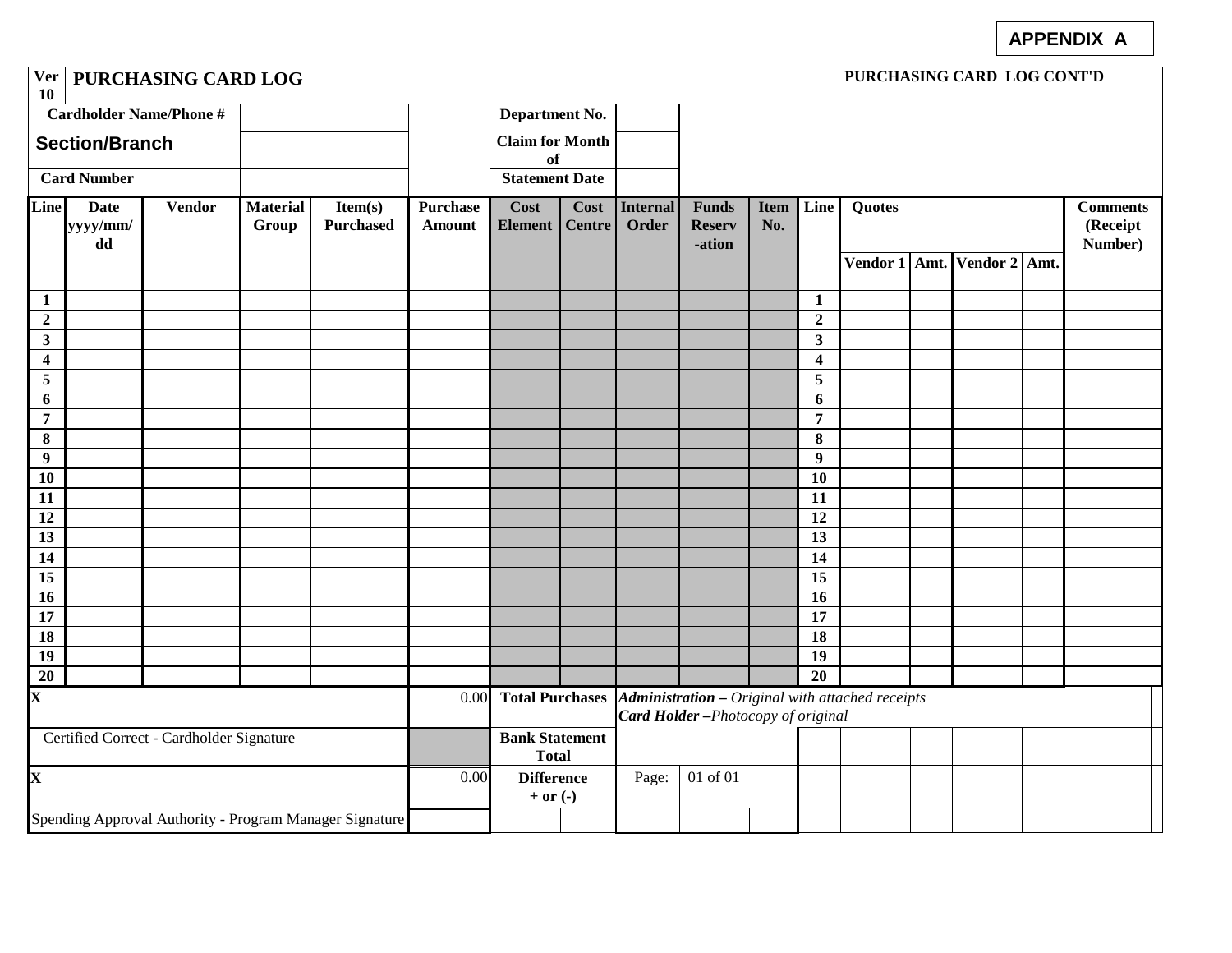# **APPENDIX A**

| Ver   PURCHASING CARD LOG<br><b>10</b>   |                               |               |                                                         |                                       |                                  |                                                                                              |                       |                   |                                         |                    |                                           |                                             |  | PURCHASING CARD LOG CONT'D             |  |  |
|------------------------------------------|-------------------------------|---------------|---------------------------------------------------------|---------------------------------------|----------------------------------|----------------------------------------------------------------------------------------------|-----------------------|-------------------|-----------------------------------------|--------------------|-------------------------------------------|---------------------------------------------|--|----------------------------------------|--|--|
| <b>Cardholder Name/Phone #</b>           |                               |               |                                                         | Department No.                        |                                  |                                                                                              |                       |                   |                                         |                    |                                           |                                             |  |                                        |  |  |
| <b>Section/Branch</b>                    |                               |               |                                                         | <b>Claim for Month</b><br>of          |                                  |                                                                                              |                       |                   |                                         |                    |                                           |                                             |  |                                        |  |  |
|                                          | <b>Card Number</b>            |               |                                                         | <b>Statement Date</b>                 |                                  |                                                                                              |                       |                   |                                         |                    |                                           |                                             |  |                                        |  |  |
| <b>Line</b>                              | <b>Date</b><br>yyyy/mm/<br>dd | <b>Vendor</b> | <b>Material</b><br>Group                                | Item(s)<br><b>Purchased</b>           | <b>Purchase</b><br><b>Amount</b> | Cost<br>Element                                                                              | Cost<br><b>Centre</b> | Internal<br>Order | <b>Funds</b><br><b>Reserv</b><br>-ation | <b>Item</b><br>No. | Line                                      | Quotes<br>Vendor 1   Amt.   Vendor 2   Amt. |  | <b>Comments</b><br>(Receipt<br>Number) |  |  |
|                                          |                               |               |                                                         |                                       |                                  |                                                                                              |                       |                   |                                         |                    |                                           |                                             |  |                                        |  |  |
| $\mathbf{1}$                             |                               |               |                                                         |                                       |                                  |                                                                                              |                       |                   |                                         |                    | $\mathbf{1}$                              |                                             |  |                                        |  |  |
| $\overline{2}$<br>$\mathbf{3}$           |                               |               |                                                         |                                       |                                  |                                                                                              |                       |                   |                                         |                    | $\overline{2}$<br>$\overline{\mathbf{3}}$ |                                             |  |                                        |  |  |
| $\boldsymbol{4}$                         |                               |               |                                                         |                                       |                                  |                                                                                              |                       |                   |                                         |                    | $\overline{\mathbf{4}}$                   |                                             |  |                                        |  |  |
| $\overline{5}$                           |                               |               |                                                         |                                       |                                  |                                                                                              |                       |                   |                                         |                    | 5                                         |                                             |  |                                        |  |  |
| 6                                        |                               |               |                                                         |                                       |                                  |                                                                                              |                       |                   |                                         |                    | $\boldsymbol{6}$                          |                                             |  |                                        |  |  |
| $\overline{7}$                           |                               |               |                                                         |                                       |                                  |                                                                                              |                       |                   |                                         |                    | $\overline{7}$                            |                                             |  |                                        |  |  |
| $\bf{8}$                                 |                               |               |                                                         |                                       |                                  |                                                                                              |                       |                   |                                         |                    | 8                                         |                                             |  |                                        |  |  |
| $\boldsymbol{9}$                         |                               |               |                                                         |                                       |                                  |                                                                                              |                       |                   |                                         |                    | $\boldsymbol{9}$                          |                                             |  |                                        |  |  |
| <b>10</b>                                |                               |               |                                                         |                                       |                                  |                                                                                              |                       |                   |                                         |                    | 10                                        |                                             |  |                                        |  |  |
| 11                                       |                               |               |                                                         |                                       |                                  |                                                                                              |                       |                   |                                         |                    | 11                                        |                                             |  |                                        |  |  |
| 12                                       |                               |               |                                                         |                                       |                                  |                                                                                              |                       |                   |                                         |                    | 12                                        |                                             |  |                                        |  |  |
| 13                                       |                               |               |                                                         |                                       |                                  |                                                                                              |                       |                   |                                         |                    | 13                                        |                                             |  |                                        |  |  |
| 14                                       |                               |               |                                                         |                                       |                                  |                                                                                              |                       |                   |                                         |                    | 14                                        |                                             |  |                                        |  |  |
| 15                                       |                               |               |                                                         |                                       |                                  |                                                                                              |                       |                   |                                         |                    | 15                                        |                                             |  |                                        |  |  |
| 16                                       |                               |               |                                                         |                                       |                                  |                                                                                              |                       |                   |                                         |                    | $\overline{16}$                           |                                             |  |                                        |  |  |
| 17                                       |                               |               |                                                         |                                       |                                  |                                                                                              |                       |                   |                                         |                    | 17                                        |                                             |  |                                        |  |  |
| 18<br>19                                 |                               |               |                                                         |                                       |                                  |                                                                                              |                       |                   |                                         |                    | 18<br>19                                  |                                             |  |                                        |  |  |
| 20                                       |                               |               |                                                         |                                       |                                  |                                                                                              |                       |                   |                                         |                    | 20                                        |                                             |  |                                        |  |  |
| $\mathbf{X}$                             |                               |               |                                                         |                                       | 0.00                             | <b>Total Purchases</b>                                                                       |                       |                   |                                         |                    |                                           |                                             |  |                                        |  |  |
|                                          |                               |               |                                                         |                                       |                                  | <b>Administration</b> – Original with attached receipts<br>Card Holder-Photocopy of original |                       |                   |                                         |                    |                                           |                                             |  |                                        |  |  |
| Certified Correct - Cardholder Signature |                               |               |                                                         | <b>Bank Statement</b><br><b>Total</b> |                                  |                                                                                              |                       |                   |                                         |                    |                                           |                                             |  |                                        |  |  |
| $\mathbf{X}$                             |                               |               | 0.00                                                    | <b>Difference</b><br>$+$ or $(-)$     |                                  | Page:                                                                                        | 01 of 01              |                   |                                         |                    |                                           |                                             |  |                                        |  |  |
|                                          |                               |               | Spending Approval Authority - Program Manager Signature |                                       |                                  |                                                                                              |                       |                   |                                         |                    |                                           |                                             |  |                                        |  |  |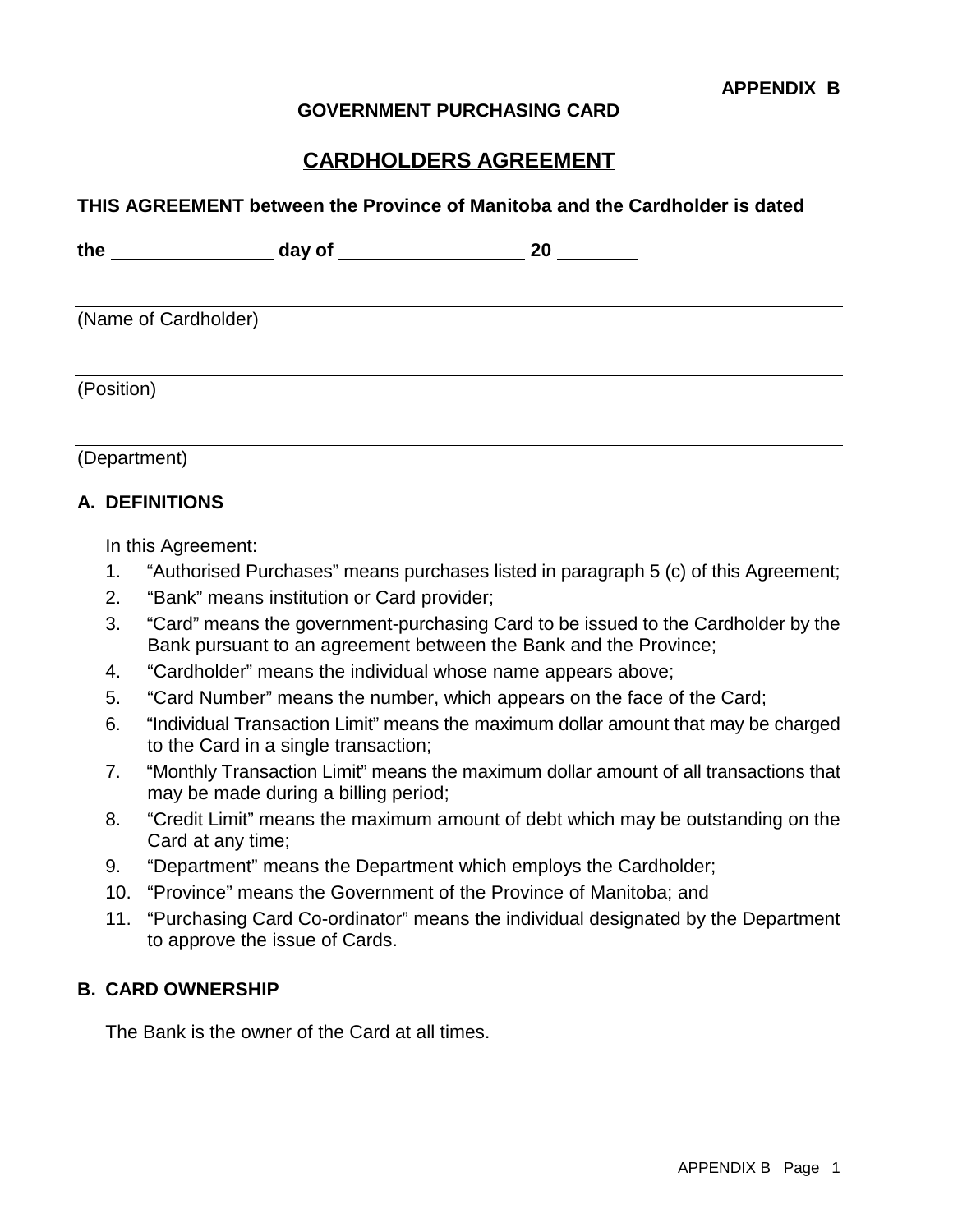#### **GOVERNMENT PURCHASING CARD**

# **CARDHOLDERS AGREEMENT**

#### **THIS AGREEMENT between the Province of Manitoba and the Cardholder is dated**

| the                  | day of | 20 |
|----------------------|--------|----|
| (Name of Cardholder) |        |    |
| (Position)           |        |    |

| (Department) |
|--------------|
|--------------|

#### **A. DEFINITIONS**

In this Agreement:

- 1. "Authorised Purchases" means purchases listed in paragraph 5 (c) of this Agreement;
- 2. "Bank" means institution or Card provider;
- 3. "Card" means the government-purchasing Card to be issued to the Cardholder by the Bank pursuant to an agreement between the Bank and the Province;
- 4. "Cardholder" means the individual whose name appears above;
- 5. "Card Number" means the number, which appears on the face of the Card;
- 6. "Individual Transaction Limit" means the maximum dollar amount that may be charged to the Card in a single transaction;
- 7. "Monthly Transaction Limit" means the maximum dollar amount of all transactions that may be made during a billing period;
- 8. "Credit Limit" means the maximum amount of debt which may be outstanding on the Card at any time;
- 9. "Department" means the Department which employs the Cardholder;
- 10. "Province" means the Government of the Province of Manitoba; and
- 11. "Purchasing Card Co-ordinator" means the individual designated by the Department to approve the issue of Cards.

#### **B. CARD OWNERSHIP**

The Bank is the owner of the Card at all times.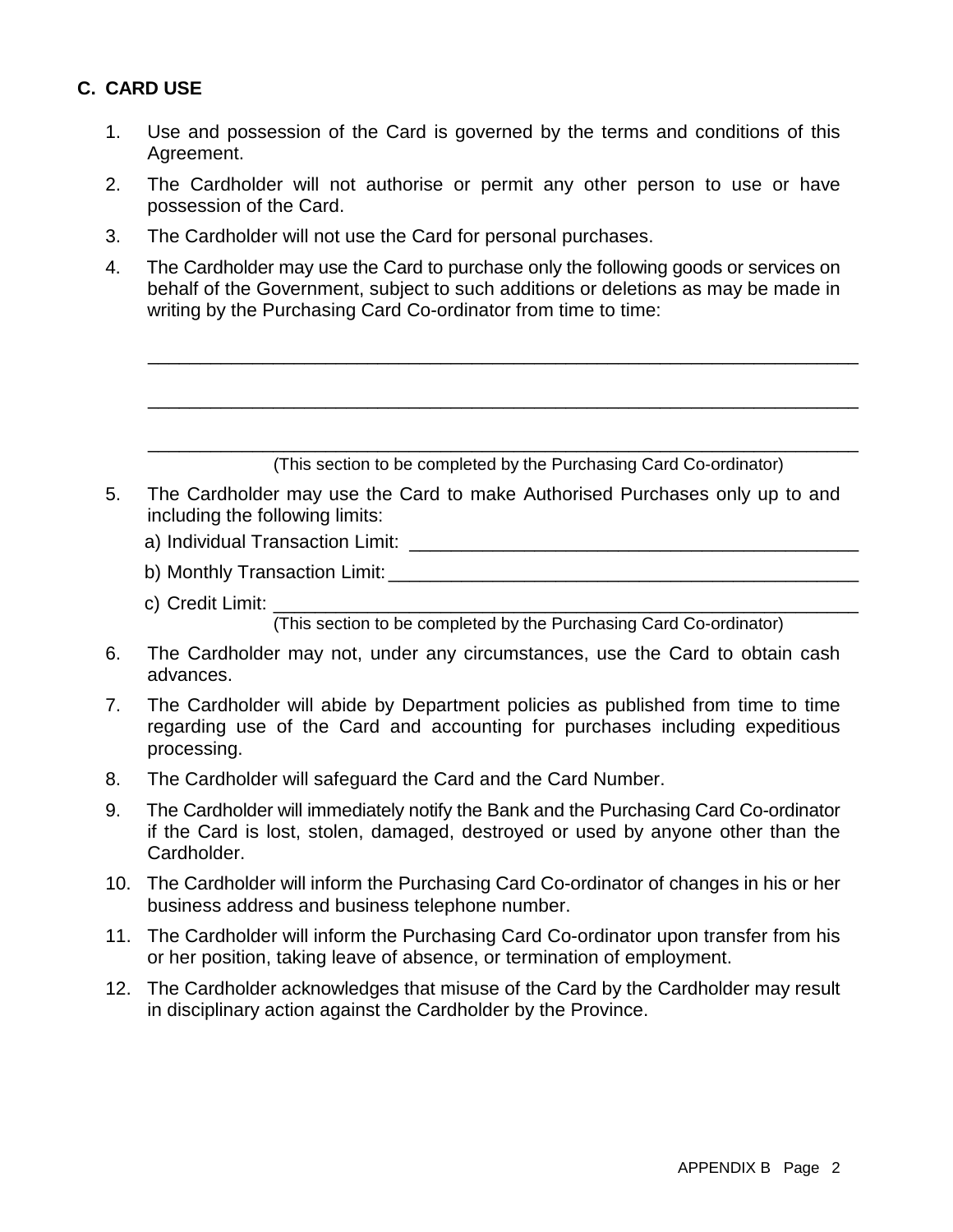# **C. CARD USE**

- 1. Use and possession of the Card is governed by the terms and conditions of this Agreement.
- 2. The Cardholder will not authorise or permit any other person to use or have possession of the Card.
- 3. The Cardholder will not use the Card for personal purchases.
- 4. The Cardholder may use the Card to purchase only the following goods or services on behalf of the Government, subject to such additions or deletions as may be made in writing by the Purchasing Card Co-ordinator from time to time:

\_\_\_\_\_\_\_\_\_\_\_\_\_\_\_\_\_\_\_\_\_\_\_\_\_\_\_\_\_\_\_\_\_\_\_\_\_\_\_\_\_\_\_\_\_\_\_\_\_\_\_\_\_\_\_\_\_\_\_\_\_\_\_\_\_\_\_\_

\_\_\_\_\_\_\_\_\_\_\_\_\_\_\_\_\_\_\_\_\_\_\_\_\_\_\_\_\_\_\_\_\_\_\_\_\_\_\_\_\_\_\_\_\_\_\_\_\_\_\_\_\_\_\_\_\_\_\_\_\_\_\_\_\_\_\_\_

|     | (This section to be completed by the Purchasing Card Co-ordinator)                                                                                                                      |
|-----|-----------------------------------------------------------------------------------------------------------------------------------------------------------------------------------------|
|     | The Cardholder may use the Card to make Authorised Purchases only up to and<br>including the following limits:                                                                          |
|     |                                                                                                                                                                                         |
|     |                                                                                                                                                                                         |
|     | c) Credit Limit: Canadian Control Credit Limit:                                                                                                                                         |
|     | (This section to be completed by the Purchasing Card Co-ordinator)                                                                                                                      |
|     | The Cardholder may not, under any circumstances, use the Card to obtain cash<br>advances.                                                                                               |
|     | The Cardholder will abide by Department policies as published from time to time<br>regarding use of the Card and accounting for purchases including expeditious<br>processing.          |
|     | The Cardholder will safeguard the Card and the Card Number.                                                                                                                             |
|     | The Cardholder will immediately notify the Bank and the Purchasing Card Co-ordinator<br>if the Card is lost, stolen, damaged, destroyed or used by anyone other than the<br>Cardholder. |
| 10. | The Cardholder will inform the Purchasing Card Co-ordinator of changes in his or her<br>business address and business telephone number.                                                 |

- 11. The Cardholder will inform the Purchasing Card Co-ordinator upon transfer from his or her position, taking leave of absence, or termination of employment.
- 12. The Cardholder acknowledges that misuse of the Card by the Cardholder may result in disciplinary action against the Cardholder by the Province.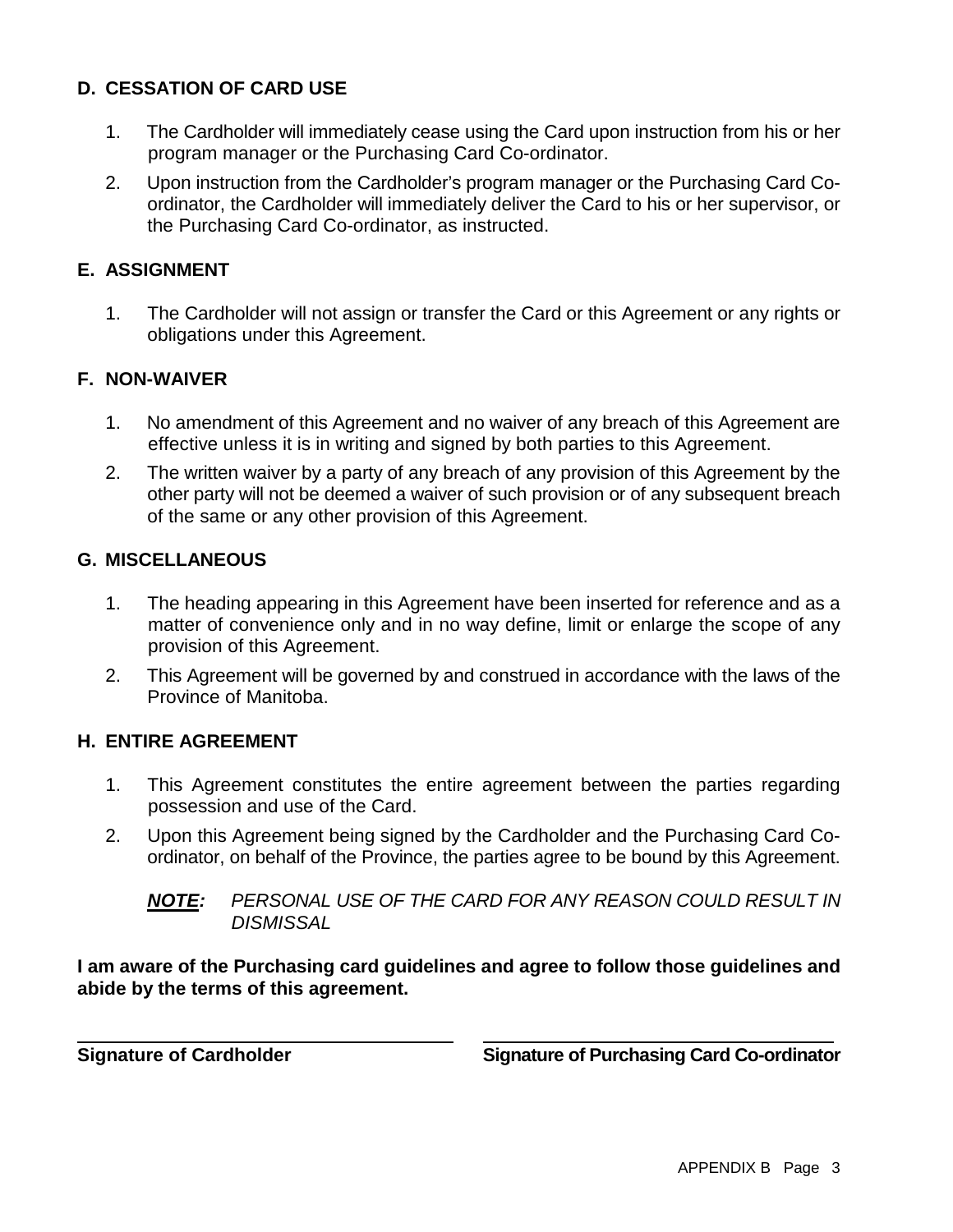# **D. CESSATION OF CARD USE**

- 1. The Cardholder will immediately cease using the Card upon instruction from his or her program manager or the Purchasing Card Co-ordinator.
- 2. Upon instruction from the Cardholder's program manager or the Purchasing Card Coordinator, the Cardholder will immediately deliver the Card to his or her supervisor, or the Purchasing Card Co-ordinator, as instructed.

### **E. ASSIGNMENT**

1. The Cardholder will not assign or transfer the Card or this Agreement or any rights or obligations under this Agreement.

#### **F. NON-WAIVER**

- 1. No amendment of this Agreement and no waiver of any breach of this Agreement are effective unless it is in writing and signed by both parties to this Agreement.
- 2. The written waiver by a party of any breach of any provision of this Agreement by the other party will not be deemed a waiver of such provision or of any subsequent breach of the same or any other provision of this Agreement.

#### **G. MISCELLANEOUS**

- 1. The heading appearing in this Agreement have been inserted for reference and as a matter of convenience only and in no way define, limit or enlarge the scope of any provision of this Agreement.
- 2. This Agreement will be governed by and construed in accordance with the laws of the Province of Manitoba.

#### **H. ENTIRE AGREEMENT**

- 1. This Agreement constitutes the entire agreement between the parties regarding possession and use of the Card.
- 2. Upon this Agreement being signed by the Cardholder and the Purchasing Card Coordinator, on behalf of the Province, the parties agree to be bound by this Agreement.

**I am aware of the Purchasing card guidelines and agree to follow those guidelines and abide by the terms of this agreement.**

**Signature of Cardholder Signature of Purchasing Card Co-ordinator**

*NOTE: PERSONAL USE OF THE CARD FOR ANY REASON COULD RESULT IN DISMISSAL*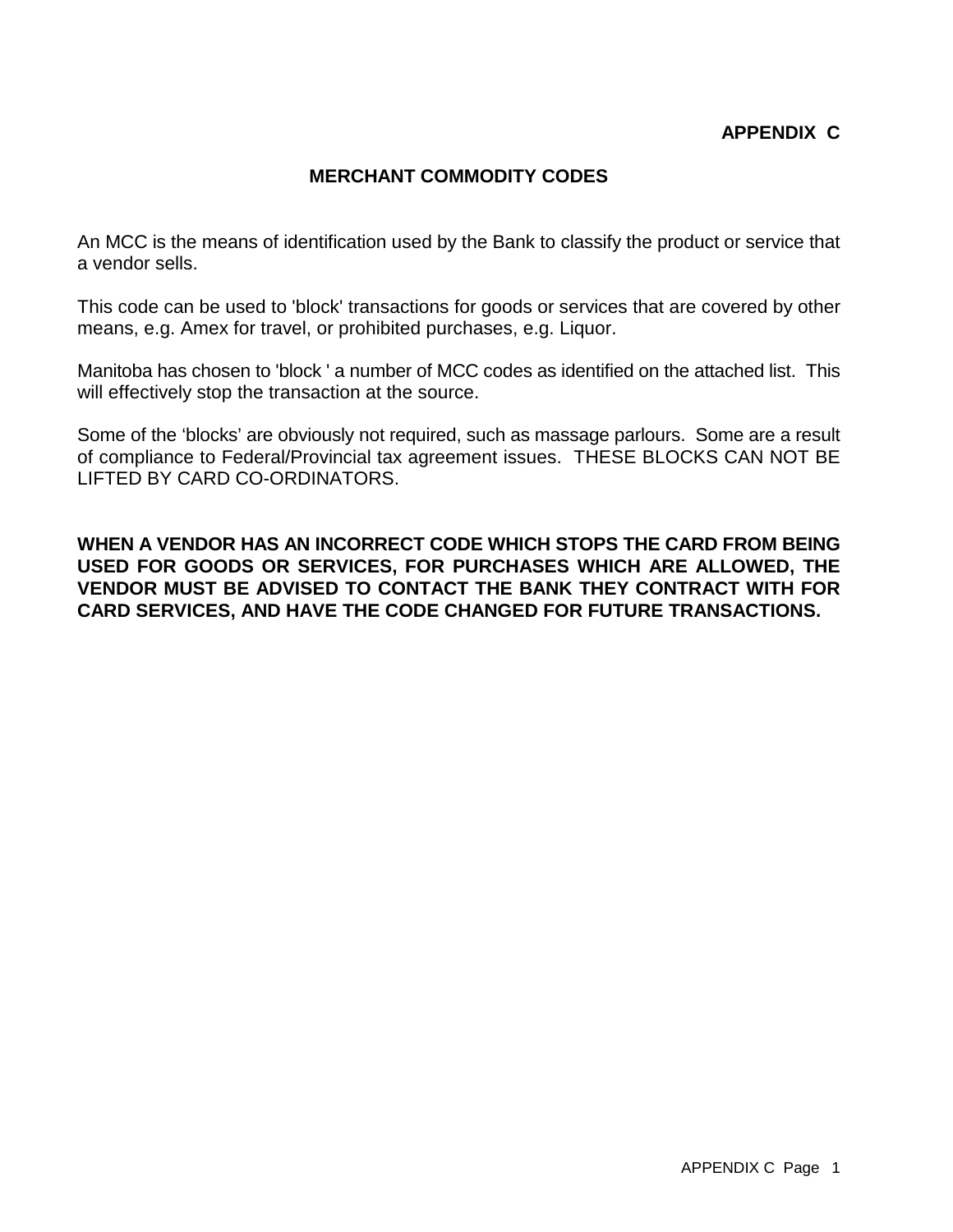#### **MERCHANT COMMODITY CODES**

An MCC is the means of identification used by the Bank to classify the product or service that a vendor sells.

This code can be used to 'block' transactions for goods or services that are covered by other means, e.g. Amex for travel, or prohibited purchases, e.g. Liquor.

Manitoba has chosen to 'block ' a number of MCC codes as identified on the attached list. This will effectively stop the transaction at the source.

Some of the 'blocks' are obviously not required, such as massage parlours. Some are a result of compliance to Federal/Provincial tax agreement issues. THESE BLOCKS CAN NOT BE LIFTED BY CARD CO-ORDINATORS.

**WHEN A VENDOR HAS AN INCORRECT CODE WHICH STOPS THE CARD FROM BEING USED FOR GOODS OR SERVICES, FOR PURCHASES WHICH ARE ALLOWED, THE VENDOR MUST BE ADVISED TO CONTACT THE BANK THEY CONTRACT WITH FOR CARD SERVICES, AND HAVE THE CODE CHANGED FOR FUTURE TRANSACTIONS.**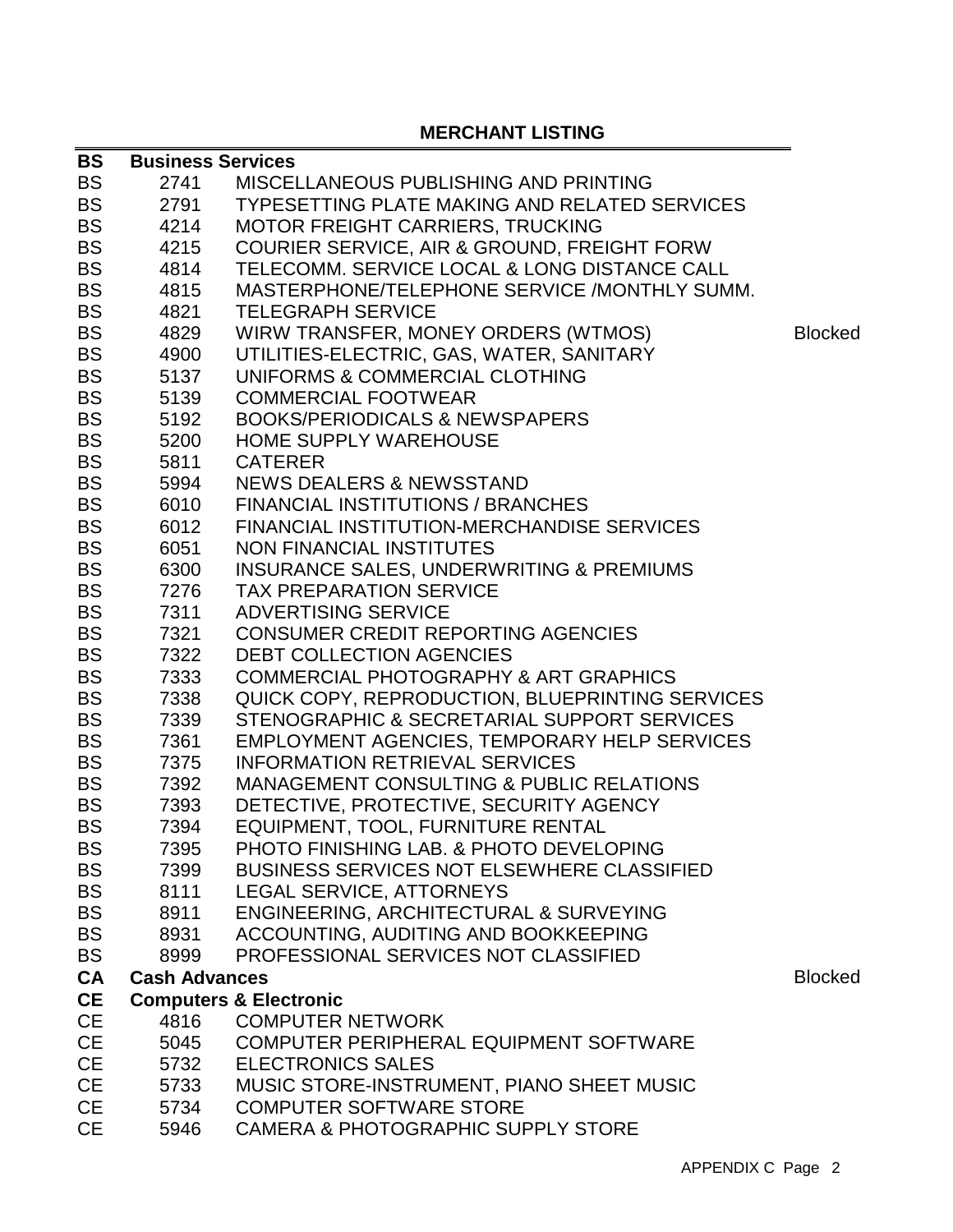# **MERCHANT LISTING**

| <b>BS</b>              | <b>Business Services</b> |                                                                              |                |
|------------------------|--------------------------|------------------------------------------------------------------------------|----------------|
| <b>BS</b>              | 2741                     | MISCELLANEOUS PUBLISHING AND PRINTING                                        |                |
| <b>BS</b>              | 2791                     | <b>TYPESETTING PLATE MAKING AND RELATED SERVICES</b>                         |                |
| <b>BS</b>              | 4214                     | <b>MOTOR FREIGHT CARRIERS, TRUCKING</b>                                      |                |
| <b>BS</b>              | 4215                     | <b>COURIER SERVICE, AIR &amp; GROUND, FREIGHT FORW</b>                       |                |
| <b>BS</b>              | 4814                     | TELECOMM. SERVICE LOCAL & LONG DISTANCE CALL                                 |                |
| <b>BS</b>              | 4815                     | MASTERPHONE/TELEPHONE SERVICE /MONTHLY SUMM.                                 |                |
| <b>BS</b>              | 4821                     | <b>TELEGRAPH SERVICE</b>                                                     |                |
| <b>BS</b>              | 4829                     | WIRW TRANSFER, MONEY ORDERS (WTMOS)                                          | <b>Blocked</b> |
| <b>BS</b>              | 4900                     | UTILITIES-ELECTRIC, GAS, WATER, SANITARY                                     |                |
| <b>BS</b>              | 5137                     | UNIFORMS & COMMERCIAL CLOTHING                                               |                |
| <b>BS</b>              | 5139                     | <b>COMMERCIAL FOOTWEAR</b>                                                   |                |
| <b>BS</b>              | 5192                     | <b>BOOKS/PERIODICALS &amp; NEWSPAPERS</b>                                    |                |
| <b>BS</b>              | 5200                     | <b>HOME SUPPLY WAREHOUSE</b>                                                 |                |
| <b>BS</b>              | 5811                     | <b>CATERER</b>                                                               |                |
| <b>BS</b>              | 5994                     | <b>NEWS DEALERS &amp; NEWSSTAND</b>                                          |                |
| <b>BS</b>              | 6010                     | <b>FINANCIAL INSTITUTIONS / BRANCHES</b>                                     |                |
| <b>BS</b>              | 6012                     | FINANCIAL INSTITUTION-MERCHANDISE SERVICES                                   |                |
| <b>BS</b>              | 6051                     | <b>NON FINANCIAL INSTITUTES</b>                                              |                |
| <b>BS</b>              | 6300                     | INSURANCE SALES, UNDERWRITING & PREMIUMS                                     |                |
| <b>BS</b>              | 7276                     | <b>TAX PREPARATION SERVICE</b>                                               |                |
| <b>BS</b>              | 7311                     | <b>ADVERTISING SERVICE</b>                                                   |                |
| <b>BS</b>              | 7321                     | <b>CONSUMER CREDIT REPORTING AGENCIES</b>                                    |                |
| <b>BS</b>              | 7322                     | DEBT COLLECTION AGENCIES                                                     |                |
| <b>BS</b>              | 7333                     | <b>COMMERCIAL PHOTOGRAPHY &amp; ART GRAPHICS</b>                             |                |
| <b>BS</b>              | 7338                     | QUICK COPY, REPRODUCTION, BLUEPRINTING SERVICES                              |                |
| <b>BS</b>              | 7339                     | STENOGRAPHIC & SECRETARIAL SUPPORT SERVICES                                  |                |
| <b>BS</b>              | 7361                     | EMPLOYMENT AGENCIES, TEMPORARY HELP SERVICES                                 |                |
| <b>BS</b>              | 7375                     | <b>INFORMATION RETRIEVAL SERVICES</b>                                        |                |
| <b>BS</b>              | 7392                     | MANAGEMENT CONSULTING & PUBLIC RELATIONS                                     |                |
| <b>BS</b>              | 7393                     | DETECTIVE, PROTECTIVE, SECURITY AGENCY                                       |                |
| <b>BS</b><br><b>BS</b> | 7394                     | EQUIPMENT, TOOL, FURNITURE RENTAL<br>PHOTO FINISHING LAB. & PHOTO DEVELOPING |                |
| <b>BS</b>              | 7395<br>7399             | <b>BUSINESS SERVICES NOT ELSEWHERE CLASSIFIED</b>                            |                |
| <b>BS</b>              | 8111                     | LEGAL SERVICE, ATTORNEYS                                                     |                |
| <b>BS</b>              | 8911                     | <b>ENGINEERING, ARCHITECTURAL &amp; SURVEYING</b>                            |                |
| <b>BS</b>              | 8931                     | ACCOUNTING, AUDITING AND BOOKKEEPING                                         |                |
| <b>BS</b>              | 8999                     | PROFESSIONAL SERVICES NOT CLASSIFIED                                         |                |
| <b>CA</b>              | <b>Cash Advances</b>     |                                                                              | <b>Blocked</b> |
| <b>CE</b>              |                          | <b>Computers &amp; Electronic</b>                                            |                |
| <b>CE</b>              | 4816                     | <b>COMPUTER NETWORK</b>                                                      |                |
| <b>CE</b>              | 5045                     | COMPUTER PERIPHERAL EQUIPMENT SOFTWARE                                       |                |
| <b>CE</b>              | 5732                     | <b>ELECTRONICS SALES</b>                                                     |                |
| <b>CE</b>              | 5733                     | MUSIC STORE-INSTRUMENT, PIANO SHEET MUSIC                                    |                |
| <b>CE</b>              | 5734                     | <b>COMPUTER SOFTWARE STORE</b>                                               |                |
|                        |                          |                                                                              |                |

CE 5946 CAMERA & PHOTOGRAPHIC SUPPLY STORE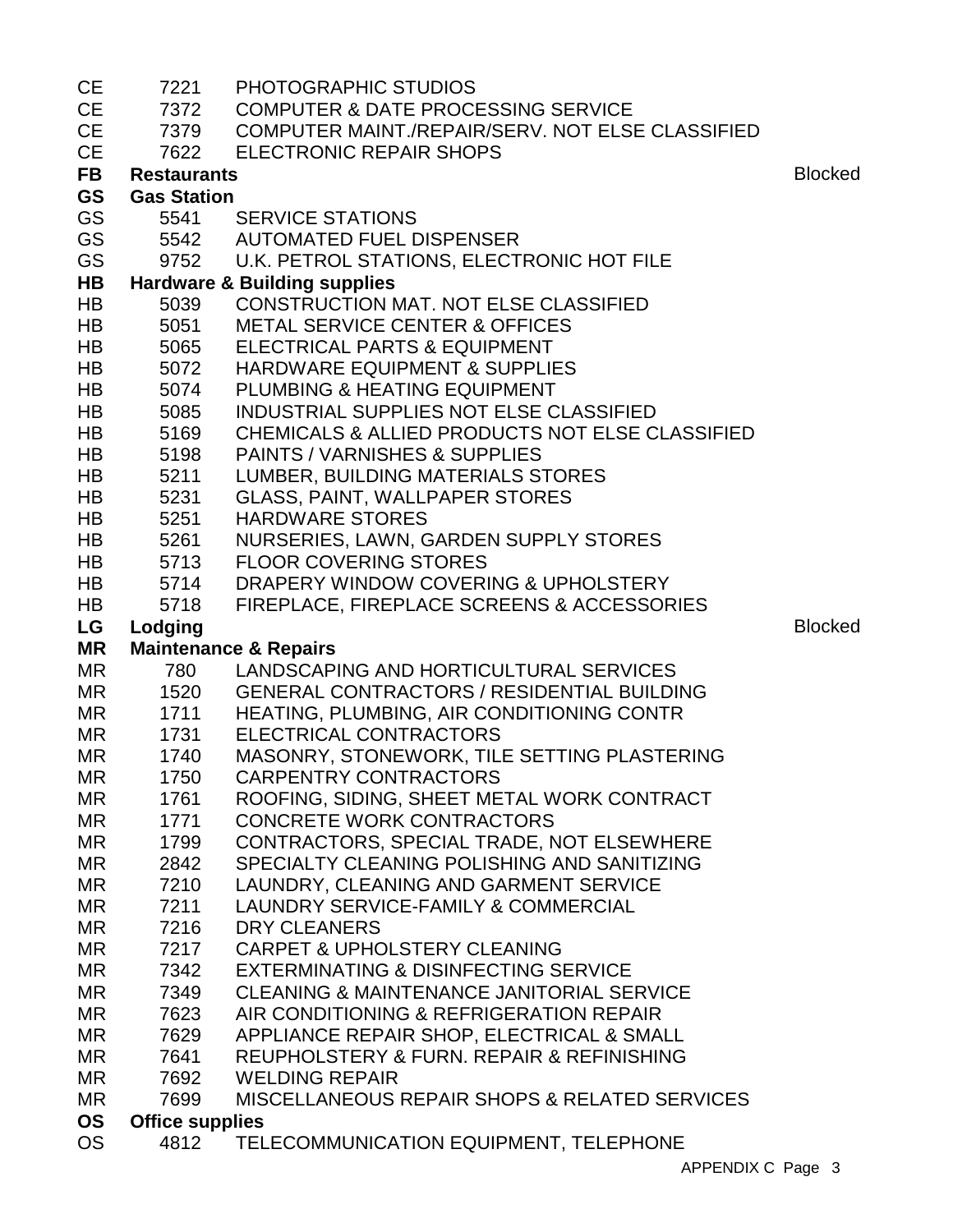| <b>CE</b>              | 7221                           | PHOTOGRAPHIC STUDIOS                                       |                |
|------------------------|--------------------------------|------------------------------------------------------------|----------------|
| <b>CE</b>              | 7372                           | <b>COMPUTER &amp; DATE PROCESSING SERVICE</b>              |                |
| <b>CE</b>              | 7379                           | COMPUTER MAINT./REPAIR/SERV. NOT ELSE CLASSIFIED           |                |
| <b>CE</b>              | 7622                           | <b>ELECTRONIC REPAIR SHOPS</b>                             |                |
| <b>FB</b>              | <b>Restaurants</b>             |                                                            | <b>Blocked</b> |
| <b>GS</b>              | <b>Gas Station</b>             |                                                            |                |
| GS                     | 5541                           | <b>SERVICE STATIONS</b>                                    |                |
| GS                     |                                | 5542 AUTOMATED FUEL DISPENSER                              |                |
| <b>GS</b>              |                                | 9752 U.K. PETROL STATIONS, ELECTRONIC HOT FILE             |                |
| HB                     |                                | <b>Hardware &amp; Building supplies</b>                    |                |
| <b>HB</b>              | 5039                           | CONSTRUCTION MAT. NOT ELSE CLASSIFIED                      |                |
| HB                     | 5051                           | <b>METAL SERVICE CENTER &amp; OFFICES</b>                  |                |
| <b>HB</b>              | 5065                           | ELECTRICAL PARTS & EQUIPMENT                               |                |
| <b>HB</b>              | 5072                           | <b>HARDWARE EQUIPMENT &amp; SUPPLIES</b>                   |                |
| <b>HB</b>              | 5074                           | PLUMBING & HEATING EQUIPMENT                               |                |
| HB                     | 5085                           | INDUSTRIAL SUPPLIES NOT ELSE CLASSIFIED                    |                |
| HB                     | 5169                           | <b>CHEMICALS &amp; ALLIED PRODUCTS NOT ELSE CLASSIFIED</b> |                |
| <b>HB</b>              | 5198                           | PAINTS / VARNISHES & SUPPLIES                              |                |
| HB                     | 5211                           | LUMBER, BUILDING MATERIALS STORES                          |                |
| <b>HB</b>              | 5231                           | <b>GLASS, PAINT, WALLPAPER STORES</b>                      |                |
| <b>HB</b>              | 5251                           | <b>HARDWARE STORES</b>                                     |                |
| HB                     | 5261                           | NURSERIES, LAWN, GARDEN SUPPLY STORES                      |                |
| <b>HB</b>              | 5713                           | <b>FLOOR COVERING STORES</b>                               |                |
| <b>HB</b>              | 5714                           | DRAPERY WINDOW COVERING & UPHOLSTERY                       |                |
| <b>HB</b>              | 5718                           | FIREPLACE, FIREPLACE SCREENS & ACCESSORIES                 |                |
|                        |                                |                                                            |                |
| LG                     | Lodging                        |                                                            | <b>Blocked</b> |
| <b>MR</b>              |                                | <b>Maintenance &amp; Repairs</b>                           |                |
| <b>MR</b>              | 780                            | LANDSCAPING AND HORTICULTURAL SERVICES                     |                |
| <b>MR</b>              | 1520                           | <b>GENERAL CONTRACTORS / RESIDENTIAL BUILDING</b>          |                |
| MR                     | 1711                           | HEATING, PLUMBING, AIR CONDITIONING CONTR                  |                |
| <b>MR</b>              | 1731                           | ELECTRICAL CONTRACTORS                                     |                |
| <b>MR</b>              | 1740                           | MASONRY, STONEWORK, TILE SETTING PLASTERING                |                |
| MR.                    | 1750                           | <b>CARPENTRY CONTRACTORS</b>                               |                |
| MR                     | 1761                           | ROOFING, SIDING, SHEET METAL WORK CONTRACT                 |                |
| MR                     | 1771                           | <b>CONCRETE WORK CONTRACTORS</b>                           |                |
| <b>MR</b>              | 1799                           | CONTRACTORS, SPECIAL TRADE, NOT ELSEWHERE                  |                |
| MR                     | 2842                           | SPECIALTY CLEANING POLISHING AND SANITIZING                |                |
| <b>MR</b>              | 7210                           | LAUNDRY, CLEANING AND GARMENT SERVICE                      |                |
| <b>MR</b>              | 7211                           | LAUNDRY SERVICE-FAMILY & COMMERCIAL                        |                |
| <b>MR</b>              | 7216                           | <b>DRY CLEANERS</b>                                        |                |
| <b>MR</b>              | 7217                           | <b>CARPET &amp; UPHOLSTERY CLEANING</b>                    |                |
| <b>MR</b>              | 7342                           | EXTERMINATING & DISINFECTING SERVICE                       |                |
| MR                     | 7349                           | <b>CLEANING &amp; MAINTENANCE JANITORIAL SERVICE</b>       |                |
| MR                     | 7623                           | AIR CONDITIONING & REFRIGERATION REPAIR                    |                |
| <b>MR</b>              | 7629                           | APPLIANCE REPAIR SHOP, ELECTRICAL & SMALL                  |                |
| <b>MR</b>              | 7641                           | REUPHOLSTERY & FURN. REPAIR & REFINISHING                  |                |
| <b>MR</b>              | 7692                           | <b>WELDING REPAIR</b>                                      |                |
| <b>MR</b>              | 7699                           | <b>MISCELLANEOUS REPAIR SHOPS &amp; RELATED SERVICES</b>   |                |
| <b>OS</b><br><b>OS</b> | <b>Office supplies</b><br>4812 | TELECOMMUNICATION EQUIPMENT, TELEPHONE                     |                |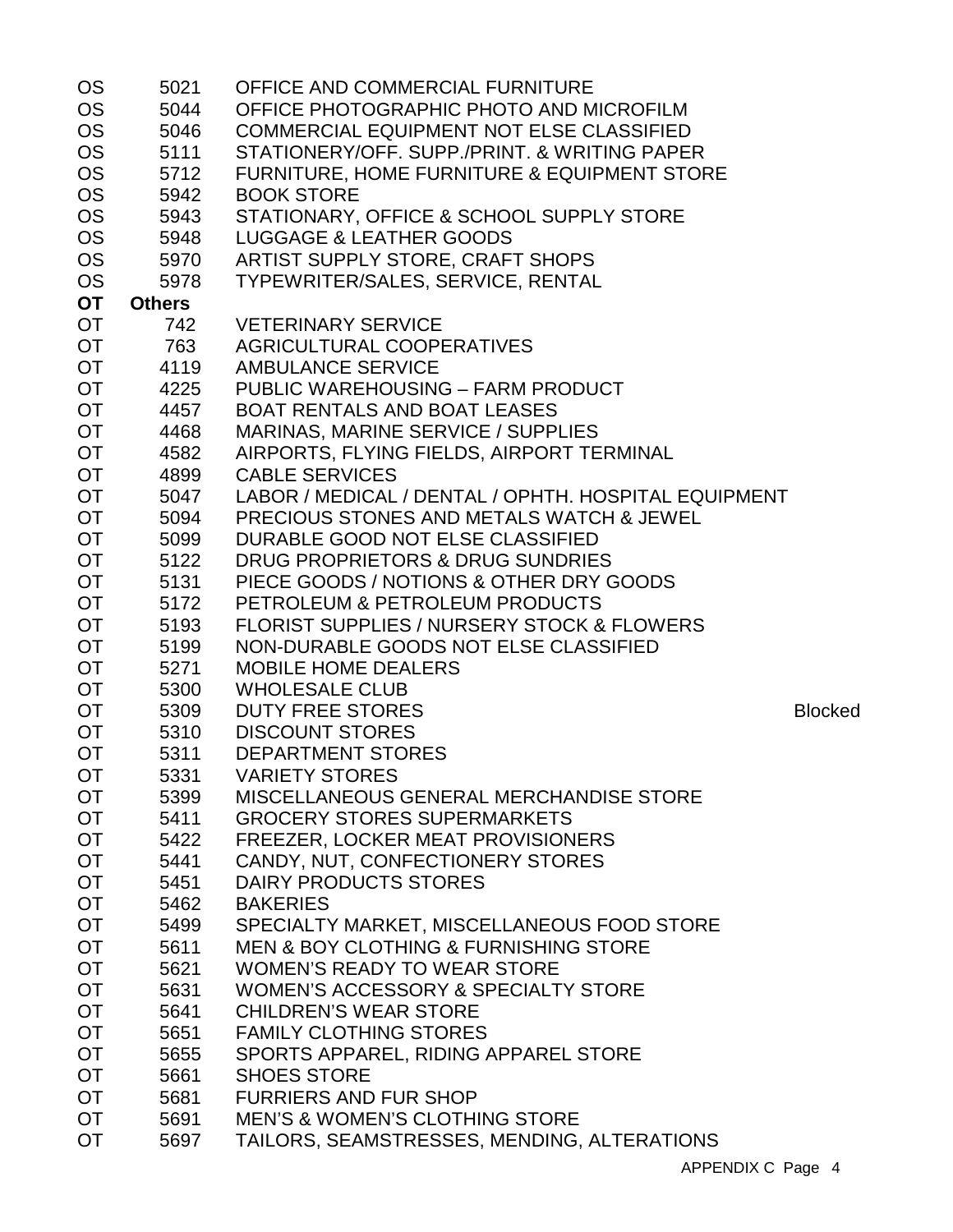| <b>OS</b> | 5021          | OFFICE AND COMMERCIAL FURNITURE                       |                |
|-----------|---------------|-------------------------------------------------------|----------------|
| <b>OS</b> | 5044          | OFFICE PHOTOGRAPHIC PHOTO AND MICROFILM               |                |
| <b>OS</b> | 5046          | COMMERCIAL EQUIPMENT NOT ELSE CLASSIFIED              |                |
| <b>OS</b> | 5111          | STATIONERY/OFF. SUPP./PRINT. & WRITING PAPER          |                |
| <b>OS</b> | 5712          | FURNITURE, HOME FURNITURE & EQUIPMENT STORE           |                |
| <b>OS</b> | 5942          | <b>BOOK STORE</b>                                     |                |
| <b>OS</b> | 5943          | STATIONARY, OFFICE & SCHOOL SUPPLY STORE              |                |
| <b>OS</b> | 5948          | <b>LUGGAGE &amp; LEATHER GOODS</b>                    |                |
| <b>OS</b> | 5970          | ARTIST SUPPLY STORE, CRAFT SHOPS                      |                |
| <b>OS</b> | 5978          | TYPEWRITER/SALES, SERVICE, RENTAL                     |                |
| <b>OT</b> | <b>Others</b> |                                                       |                |
| OT        | 742           | <b>VETERINARY SERVICE</b>                             |                |
| <b>OT</b> | 763           | AGRICULTURAL COOPERATIVES                             |                |
| OT        | 4119          | <b>AMBULANCE SERVICE</b>                              |                |
| <b>OT</b> |               | 4225 PUBLIC WAREHOUSING - FARM PRODUCT                |                |
| <b>OT</b> | 4457          | <b>BOAT RENTALS AND BOAT LEASES</b>                   |                |
| <b>OT</b> | 4468          | MARINAS, MARINE SERVICE / SUPPLIES                    |                |
| <b>OT</b> | 4582          | AIRPORTS, FLYING FIELDS, AIRPORT TERMINAL             |                |
| OT        | 4899          | <b>CABLE SERVICES</b>                                 |                |
| <b>OT</b> | 5047          | LABOR / MEDICAL / DENTAL / OPHTH. HOSPITAL EQUIPMENT  |                |
| <b>OT</b> | 5094          | <b>PRECIOUS STONES AND METALS WATCH &amp; JEWEL</b>   |                |
| <b>OT</b> | 5099          | DURABLE GOOD NOT ELSE CLASSIFIED                      |                |
| <b>OT</b> | 5122          | DRUG PROPRIETORS & DRUG SUNDRIES                      |                |
| OT        | 5131          | PIECE GOODS / NOTIONS & OTHER DRY GOODS               |                |
| <b>OT</b> | 5172          | PETROLEUM & PETROLEUM PRODUCTS                        |                |
| OT        |               | <b>FLORIST SUPPLIES / NURSERY STOCK &amp; FLOWERS</b> |                |
|           | 5193          |                                                       |                |
| <b>OT</b> | 5199          | NON-DURABLE GOODS NOT ELSE CLASSIFIED                 |                |
| <b>OT</b> | 5271<br>5300  | <b>MOBILE HOME DEALERS</b>                            |                |
| OT        |               | <b>WHOLESALE CLUB</b>                                 |                |
| <b>OT</b> | 5309<br>5310  | <b>DUTY FREE STORES</b>                               | <b>Blocked</b> |
| <b>OT</b> |               | <b>DISCOUNT STORES</b>                                |                |
| <b>OT</b> | 5311          | <b>DEPARTMENT STORES</b>                              |                |
| <b>OT</b> | 5331          | <b>VARIETY STORES</b>                                 |                |
| OT.       | 5399          | MISCELLANEOUS GENERAL MERCHANDISE STORE               |                |
| <b>OT</b> | 5411          | <b>GROCERY STORES SUPERMARKETS</b>                    |                |
| <b>OT</b> | 5422          | FREEZER, LOCKER MEAT PROVISIONERS                     |                |
| <b>OT</b> | 5441          | CANDY, NUT, CONFECTIONERY STORES                      |                |
| <b>OT</b> | 5451          | DAIRY PRODUCTS STORES                                 |                |
| <b>OT</b> | 5462          | <b>BAKERIES</b>                                       |                |
| <b>OT</b> | 5499          | SPECIALTY MARKET, MISCELLANEOUS FOOD STORE            |                |
| <b>OT</b> | 5611          | <b>MEN &amp; BOY CLOTHING &amp; FURNISHING STORE</b>  |                |
| <b>OT</b> | 5621          | <b>WOMEN'S READY TO WEAR STORE</b>                    |                |
| <b>OT</b> | 5631          | WOMEN'S ACCESSORY & SPECIALTY STORE                   |                |
| <b>OT</b> | 5641          | <b>CHILDREN'S WEAR STORE</b>                          |                |
| <b>OT</b> | 5651          | <b>FAMILY CLOTHING STORES</b>                         |                |
| <b>OT</b> | 5655          | SPORTS APPAREL, RIDING APPAREL STORE                  |                |
| <b>OT</b> | 5661          | <b>SHOES STORE</b>                                    |                |
| <b>OT</b> | 5681          | <b>FURRIERS AND FUR SHOP</b>                          |                |
| <b>OT</b> | 5691          | <b>MEN'S &amp; WOMEN'S CLOTHING STORE</b>             |                |
| <b>OT</b> | 5697          | TAILORS, SEAMSTRESSES, MENDING, ALTERATIONS           |                |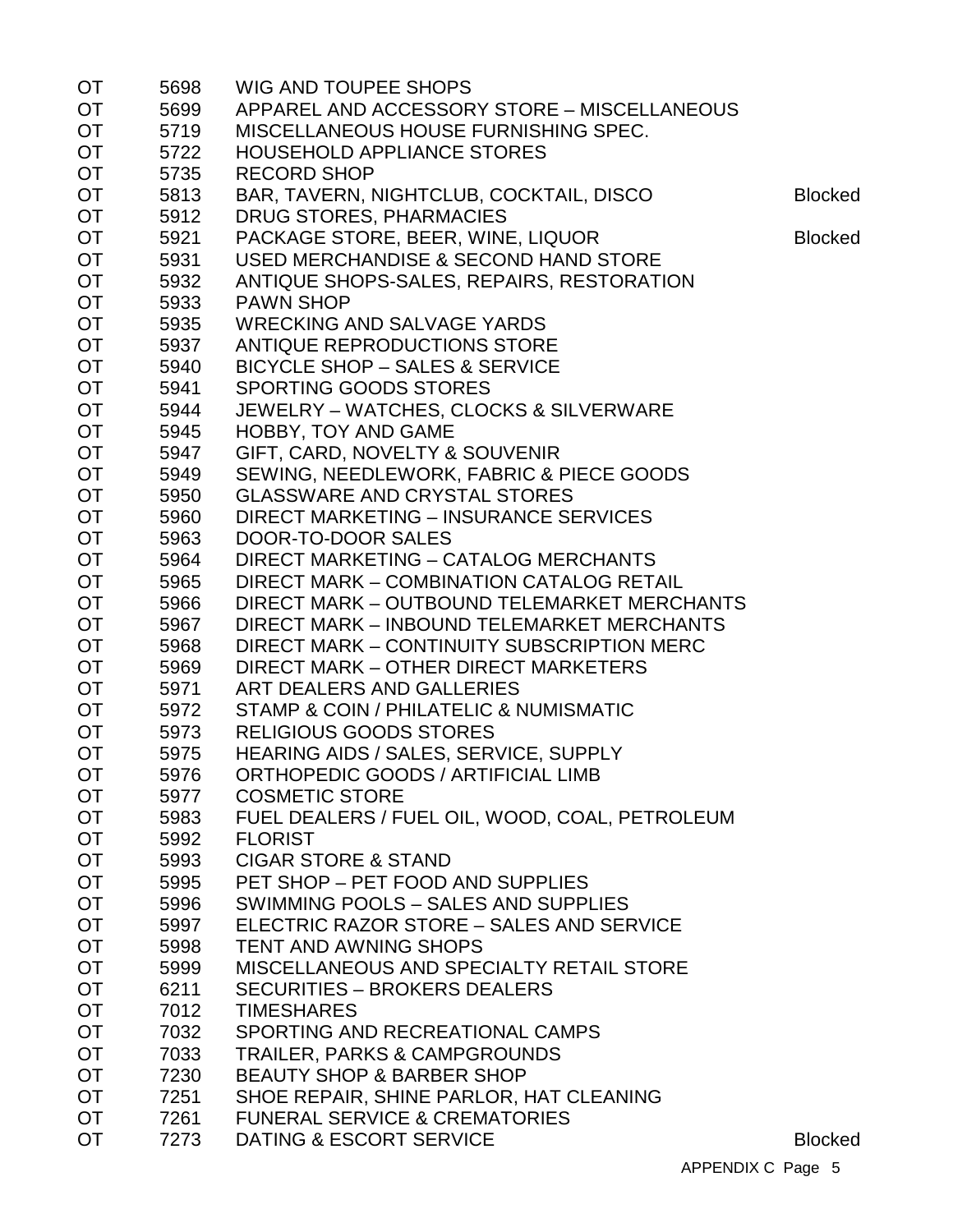| <b>OT</b> | 5698 | <b>WIG AND TOUPEE SHOPS</b>                    |                |
|-----------|------|------------------------------------------------|----------------|
| <b>OT</b> | 5699 | APPAREL AND ACCESSORY STORE - MISCELLANEOUS    |                |
| <b>OT</b> | 5719 | MISCELLANEOUS HOUSE FURNISHING SPEC.           |                |
| <b>OT</b> | 5722 | <b>HOUSEHOLD APPLIANCE STORES</b>              |                |
| <b>OT</b> | 5735 | <b>RECORD SHOP</b>                             |                |
| <b>OT</b> | 5813 | BAR, TAVERN, NIGHTCLUB, COCKTAIL, DISCO        | <b>Blocked</b> |
| <b>OT</b> | 5912 | <b>DRUG STORES, PHARMACIES</b>                 |                |
| <b>OT</b> | 5921 | PACKAGE STORE, BEER, WINE, LIQUOR              | <b>Blocked</b> |
| <b>OT</b> | 5931 | USED MERCHANDISE & SECOND HAND STORE           |                |
| <b>OT</b> | 5932 | ANTIQUE SHOPS-SALES, REPAIRS, RESTORATION      |                |
| <b>OT</b> | 5933 | <b>PAWN SHOP</b>                               |                |
| OT        | 5935 | <b>WRECKING AND SALVAGE YARDS</b>              |                |
| <b>OT</b> | 5937 | ANTIQUE REPRODUCTIONS STORE                    |                |
| <b>OT</b> | 5940 | <b>BICYCLE SHOP - SALES &amp; SERVICE</b>      |                |
| <b>OT</b> | 5941 | <b>SPORTING GOODS STORES</b>                   |                |
| OT        | 5944 | JEWELRY - WATCHES, CLOCKS & SILVERWARE         |                |
| <b>OT</b> | 5945 | <b>HOBBY, TOY AND GAME</b>                     |                |
| <b>OT</b> | 5947 | GIFT, CARD, NOVELTY & SOUVENIR                 |                |
| <b>OT</b> | 5949 | SEWING, NEEDLEWORK, FABRIC & PIECE GOODS       |                |
| <b>OT</b> | 5950 | <b>GLASSWARE AND CRYSTAL STORES</b>            |                |
| <b>OT</b> | 5960 | <b>DIRECT MARKETING - INSURANCE SERVICES</b>   |                |
| <b>OT</b> | 5963 | DOOR-TO-DOOR SALES                             |                |
| <b>OT</b> | 5964 | <b>DIRECT MARKETING - CATALOG MERCHANTS</b>    |                |
|           |      | DIRECT MARK - COMBINATION CATALOG RETAIL       |                |
| <b>OT</b> | 5965 |                                                |                |
| <b>OT</b> | 5966 | DIRECT MARK - OUTBOUND TELEMARKET MERCHANTS    |                |
| OT        | 5967 | DIRECT MARK - INBOUND TELEMARKET MERCHANTS     |                |
| <b>OT</b> | 5968 | DIRECT MARK - CONTINUITY SUBSCRIPTION MERC     |                |
| <b>OT</b> | 5969 | DIRECT MARK - OTHER DIRECT MARKETERS           |                |
| <b>OT</b> | 5971 | ART DEALERS AND GALLERIES                      |                |
| <b>OT</b> | 5972 | STAMP & COIN / PHILATELIC & NUMISMATIC         |                |
| <b>OT</b> | 5973 | <b>RELIGIOUS GOODS STORES</b>                  |                |
| <b>OT</b> | 5975 | HEARING AIDS / SALES, SERVICE, SUPPLY          |                |
| <b>OT</b> | 5976 | ORTHOPEDIC GOODS / ARTIFICIAL LIMB             |                |
| <b>OT</b> | 5977 | <b>COSMETIC STORE</b>                          |                |
| <b>OT</b> | 5983 | FUEL DEALERS / FUEL OIL, WOOD, COAL, PETROLEUM |                |
| OT        | 5992 | <b>FLORIST</b>                                 |                |
| <b>OT</b> | 5993 | <b>CIGAR STORE &amp; STAND</b>                 |                |
| <b>OT</b> | 5995 | PET SHOP - PET FOOD AND SUPPLIES               |                |
| <b>OT</b> | 5996 | SWIMMING POOLS - SALES AND SUPPLIES            |                |
| <b>OT</b> | 5997 | ELECTRIC RAZOR STORE - SALES AND SERVICE       |                |
| <b>OT</b> | 5998 | <b>TENT AND AWNING SHOPS</b>                   |                |
| <b>OT</b> | 5999 | MISCELLANEOUS AND SPECIALTY RETAIL STORE       |                |
| <b>OT</b> | 6211 | <b>SECURITIES - BROKERS DEALERS</b>            |                |
| <b>OT</b> | 7012 | <b>TIMESHARES</b>                              |                |
| <b>OT</b> | 7032 | SPORTING AND RECREATIONAL CAMPS                |                |
| <b>OT</b> | 7033 | <b>TRAILER, PARKS &amp; CAMPGROUNDS</b>        |                |
| <b>OT</b> | 7230 | <b>BEAUTY SHOP &amp; BARBER SHOP</b>           |                |
| <b>OT</b> | 7251 | SHOE REPAIR, SHINE PARLOR, HAT CLEANING        |                |
| <b>OT</b> | 7261 | <b>FUNERAL SERVICE &amp; CREMATORIES</b>       |                |
| <b>OT</b> | 7273 | DATING & ESCORT SERVICE                        | <b>Blocked</b> |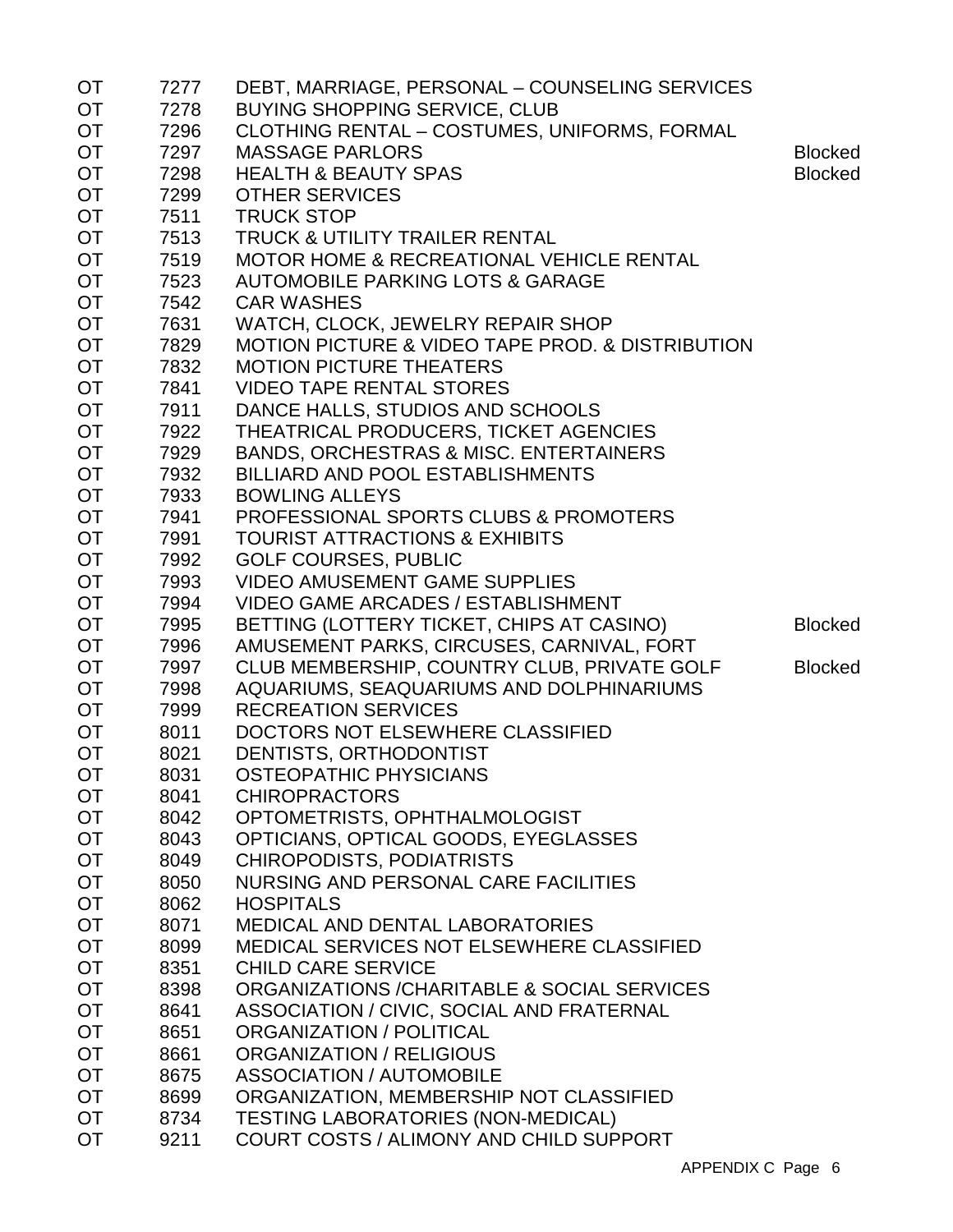| ОT               | 7277         | DEBT, MARRIAGE, PERSONAL - COUNSELING SERVICES                  |                |
|------------------|--------------|-----------------------------------------------------------------|----------------|
| <b>OT</b>        | 7278         | <b>BUYING SHOPPING SERVICE, CLUB</b>                            |                |
| <b>OT</b>        | 7296         | CLOTHING RENTAL - COSTUMES, UNIFORMS, FORMAL                    |                |
| OT               | 7297         | <b>MASSAGE PARLORS</b>                                          | <b>Blocked</b> |
| OT               | 7298         | <b>HEALTH &amp; BEAUTY SPAS</b>                                 | <b>Blocked</b> |
| OT               | 7299         | <b>OTHER SERVICES</b>                                           |                |
| <b>OT</b>        | 7511         | <b>TRUCK STOP</b>                                               |                |
| <b>OT</b>        | 7513         | <b>TRUCK &amp; UTILITY TRAILER RENTAL</b>                       |                |
| OT               | 7519         | <b>MOTOR HOME &amp; RECREATIONAL VEHICLE RENTAL</b>             |                |
| OT               | 7523         | <b>AUTOMOBILE PARKING LOTS &amp; GARAGE</b>                     |                |
| OT               | 7542         | <b>CAR WASHES</b>                                               |                |
| <b>OT</b>        | 7631         | WATCH, CLOCK, JEWELRY REPAIR SHOP                               |                |
| OT               | 7829         | <b>MOTION PICTURE &amp; VIDEO TAPE PROD. &amp; DISTRIBUTION</b> |                |
| OT               | 7832         | <b>MOTION PICTURE THEATERS</b>                                  |                |
| <b>OT</b>        | 7841         | <b>VIDEO TAPE RENTAL STORES</b>                                 |                |
| OT               | 7911         | DANCE HALLS, STUDIOS AND SCHOOLS                                |                |
| <b>OT</b>        | 7922         | THEATRICAL PRODUCERS, TICKET AGENCIES                           |                |
| OT               | 7929         | <b>BANDS, ORCHESTRAS &amp; MISC. ENTERTAINERS</b>               |                |
| OT               | 7932         | <b>BILLIARD AND POOL ESTABLISHMENTS</b>                         |                |
| OT               | 7933         | <b>BOWLING ALLEYS</b>                                           |                |
| <b>OT</b>        | 7941         | <b>PROFESSIONAL SPORTS CLUBS &amp; PROMOTERS</b>                |                |
| <b>OT</b>        | 7991         | <b>TOURIST ATTRACTIONS &amp; EXHIBITS</b>                       |                |
| OT               | 7992         | <b>GOLF COURSES, PUBLIC</b>                                     |                |
| OT               | 7993         | <b>VIDEO AMUSEMENT GAME SUPPLIES</b>                            |                |
| OT               | 7994         | <b>VIDEO GAME ARCADES / ESTABLISHMENT</b>                       |                |
| OT               | 7995         | BETTING (LOTTERY TICKET, CHIPS AT CASINO)                       | <b>Blocked</b> |
| <b>OT</b>        | 7996         | AMUSEMENT PARKS, CIRCUSES, CARNIVAL, FORT                       |                |
| <b>OT</b>        | 7997         | CLUB MEMBERSHIP, COUNTRY CLUB, PRIVATE GOLF                     | <b>Blocked</b> |
| OT               | 7998         | AQUARIUMS, SEAQUARIUMS AND DOLPHINARIUMS                        |                |
| <b>OT</b>        | 7999         | <b>RECREATION SERVICES</b>                                      |                |
| OT               | 8011         | DOCTORS NOT ELSEWHERE CLASSIFIED                                |                |
| <b>OT</b>        | 8021         | DENTISTS, ORTHODONTIST                                          |                |
| <b>OT</b>        |              | <b>OSTEOPATHIC PHYSICIANS</b>                                   |                |
|                  | 8031<br>8041 | <b>CHIROPRACTORS</b>                                            |                |
| OT.<br><b>OT</b> | 8042         | OPTOMETRISTS, OPHTHALMOLOGIST                                   |                |
| OT               |              | OPTICIANS, OPTICAL GOODS, EYEGLASSES                            |                |
|                  | 8043         |                                                                 |                |
| <b>OT</b>        | 8049         | <b>CHIROPODISTS, PODIATRISTS</b>                                |                |
| OT               | 8050         | NURSING AND PERSONAL CARE FACILITIES                            |                |
| <b>OT</b>        | 8062         | <b>HOSPITALS</b>                                                |                |
| OT               | 8071         | <b>MEDICAL AND DENTAL LABORATORIES</b>                          |                |
| OT               | 8099         | MEDICAL SERVICES NOT ELSEWHERE CLASSIFIED                       |                |
| <b>OT</b>        | 8351         | <b>CHILD CARE SERVICE</b>                                       |                |
| OT               | 8398         | ORGANIZATIONS / CHARITABLE & SOCIAL SERVICES                    |                |
| <b>OT</b>        | 8641         | ASSOCIATION / CIVIC, SOCIAL AND FRATERNAL                       |                |
| <b>OT</b>        | 8651         | ORGANIZATION / POLITICAL                                        |                |
| <b>OT</b>        | 8661         | <b>ORGANIZATION / RELIGIOUS</b>                                 |                |
| <b>OT</b>        | 8675         | <b>ASSOCIATION / AUTOMOBILE</b>                                 |                |
| <b>OT</b>        | 8699         | ORGANIZATION, MEMBERSHIP NOT CLASSIFIED                         |                |
| <b>OT</b>        | 8734         | <b>TESTING LABORATORIES (NON-MEDICAL)</b>                       |                |
| <b>OT</b>        | 9211         | <b>COURT COSTS / ALIMONY AND CHILD SUPPORT</b>                  |                |